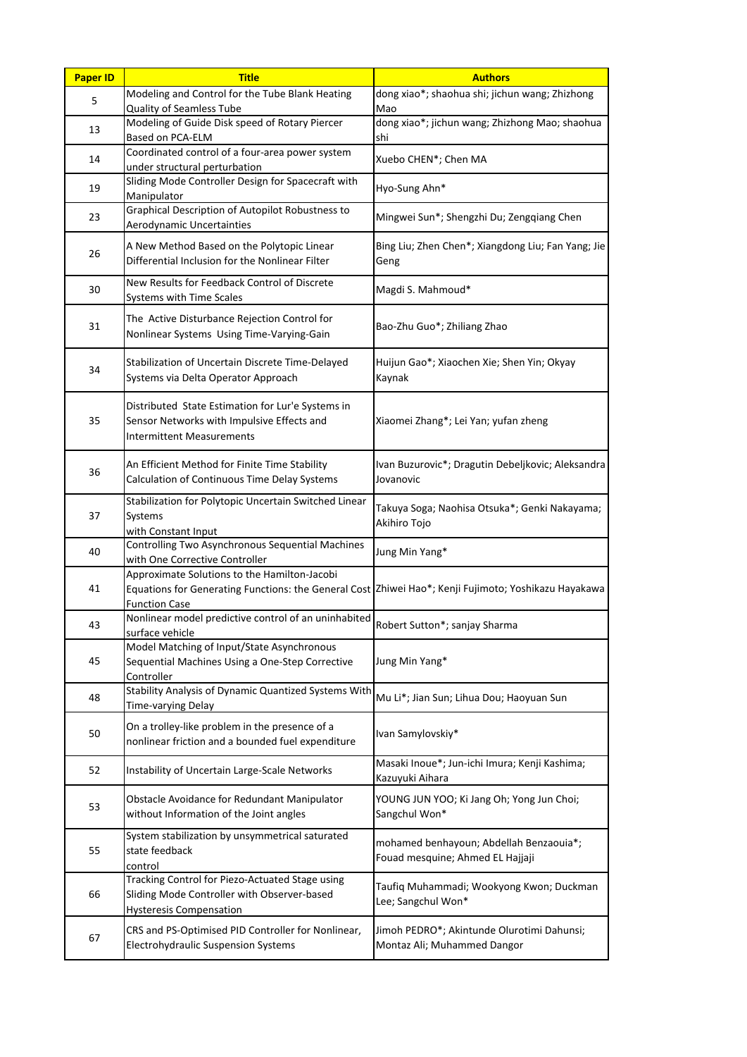| <b>Paper ID</b> | <b>Title</b>                                                                                                                                                                 | <b>Authors</b>                                                              |
|-----------------|------------------------------------------------------------------------------------------------------------------------------------------------------------------------------|-----------------------------------------------------------------------------|
| 5               | Modeling and Control for the Tube Blank Heating<br>Quality of Seamless Tube                                                                                                  | dong xiao*; shaohua shi; jichun wang; Zhizhong<br>Mao                       |
| 13              | Modeling of Guide Disk speed of Rotary Piercer<br>Based on PCA-ELM                                                                                                           | dong xiao*; jichun wang; Zhizhong Mao; shaohua<br>shi                       |
| 14              | Coordinated control of a four-area power system<br>under structural perturbation                                                                                             | Xuebo CHEN*; Chen MA                                                        |
| 19              | Sliding Mode Controller Design for Spacecraft with<br>Manipulator                                                                                                            | Hyo-Sung Ahn*                                                               |
| 23              | Graphical Description of Autopilot Robustness to<br>Aerodynamic Uncertainties                                                                                                | Mingwei Sun*; Shengzhi Du; Zengqiang Chen                                   |
| 26              | A New Method Based on the Polytopic Linear<br>Differential Inclusion for the Nonlinear Filter                                                                                | Bing Liu; Zhen Chen*; Xiangdong Liu; Fan Yang; Jie<br>Geng                  |
| 30              | New Results for Feedback Control of Discrete<br><b>Systems with Time Scales</b>                                                                                              | Magdi S. Mahmoud*                                                           |
| 31              | The Active Disturbance Rejection Control for<br>Nonlinear Systems Using Time-Varying-Gain                                                                                    | Bao-Zhu Guo*; Zhiliang Zhao                                                 |
| 34              | Stabilization of Uncertain Discrete Time-Delayed<br>Systems via Delta Operator Approach                                                                                      | Huijun Gao*; Xiaochen Xie; Shen Yin; Okyay<br>Kaynak                        |
| 35              | Distributed State Estimation for Lur'e Systems in<br>Sensor Networks with Impulsive Effects and<br><b>Intermittent Measurements</b>                                          | Xiaomei Zhang*; Lei Yan; yufan zheng                                        |
| 36              | An Efficient Method for Finite Time Stability<br>Calculation of Continuous Time Delay Systems                                                                                | Ivan Buzurovic*; Dragutin Debeljkovic; Aleksandra<br>Jovanovic              |
| 37              | Stabilization for Polytopic Uncertain Switched Linear<br>Systems<br>with Constant Input                                                                                      | Takuya Soga; Naohisa Otsuka*; Genki Nakayama;<br>Akihiro Tojo               |
| 40              | Controlling Two Asynchronous Sequential Machines<br>with One Corrective Controller                                                                                           | Jung Min Yang*                                                              |
| 41              | Approximate Solutions to the Hamilton-Jacobi<br>Equations for Generating Functions: the General Cost Zhiwei Hao*; Kenji Fujimoto; Yoshikazu Hayakawa<br><b>Function Case</b> |                                                                             |
| 43              | Nonlinear model predictive control of an uninhabited<br>surface vehicle                                                                                                      | Robert Sutton*; sanjay Sharma                                               |
| 45              | Model Matching of Input/State Asynchronous<br>Sequential Machines Using a One-Step Corrective<br>Controller                                                                  | Jung Min Yang*                                                              |
| 48              | Stability Analysis of Dynamic Quantized Systems With<br><b>Time-varying Delay</b>                                                                                            | Mu Li*; Jian Sun; Lihua Dou; Haoyuan Sun                                    |
| 50              | On a trolley-like problem in the presence of a<br>nonlinear friction and a bounded fuel expenditure                                                                          | Ivan Samylovskiy*                                                           |
| 52              | Instability of Uncertain Large-Scale Networks                                                                                                                                | Masaki Inoue*; Jun-ichi Imura; Kenji Kashima;<br>Kazuyuki Aihara            |
| 53              | Obstacle Avoidance for Redundant Manipulator<br>without Information of the Joint angles                                                                                      | YOUNG JUN YOO; Ki Jang Oh; Yong Jun Choi;<br>Sangchul Won*                  |
| 55              | System stabilization by unsymmetrical saturated<br>state feedback<br>control                                                                                                 | mohamed benhayoun; Abdellah Benzaouia*;<br>Fouad mesquine; Ahmed EL Hajjaji |
| 66              | Tracking Control for Piezo-Actuated Stage using<br>Sliding Mode Controller with Observer-based<br><b>Hysteresis Compensation</b>                                             | Taufiq Muhammadi; Wookyong Kwon; Duckman<br>Lee; Sangchul Won*              |
| 67              | CRS and PS-Optimised PID Controller for Nonlinear,<br>Electrohydraulic Suspension Systems                                                                                    | Jimoh PEDRO*; Akintunde Olurotimi Dahunsi;<br>Montaz Ali; Muhammed Dangor   |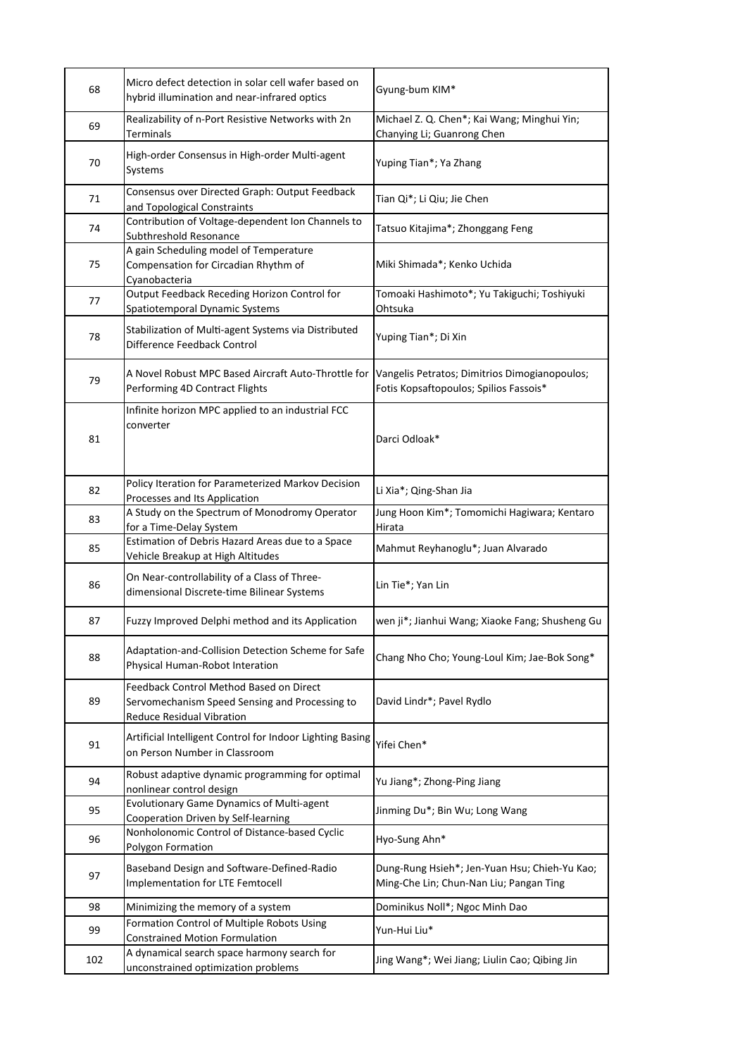| 68  | Micro defect detection in solar cell wafer based on<br>hybrid illumination and near-infrared optics                           | Gyung-bum KIM*                                                                           |
|-----|-------------------------------------------------------------------------------------------------------------------------------|------------------------------------------------------------------------------------------|
| 69  | Realizability of n-Port Resistive Networks with 2n<br><b>Terminals</b>                                                        | Michael Z. Q. Chen*; Kai Wang; Minghui Yin;<br>Chanying Li; Guanrong Chen                |
| 70  | High-order Consensus in High-order Multi-agent<br>Systems                                                                     | Yuping Tian*; Ya Zhang                                                                   |
| 71  | Consensus over Directed Graph: Output Feedback<br>and Topological Constraints                                                 | Tian Qi*; Li Qiu; Jie Chen                                                               |
| 74  | Contribution of Voltage-dependent Ion Channels to<br>Subthreshold Resonance                                                   | Tatsuo Kitajima*; Zhonggang Feng                                                         |
| 75  | A gain Scheduling model of Temperature<br>Compensation for Circadian Rhythm of<br>Cyanobacteria                               | Miki Shimada*; Kenko Uchida                                                              |
| 77  | Output Feedback Receding Horizon Control for<br>Spatiotemporal Dynamic Systems                                                | Tomoaki Hashimoto*; Yu Takiguchi; Toshiyuki<br>Ohtsuka                                   |
| 78  | Stabilization of Multi-agent Systems via Distributed<br>Difference Feedback Control                                           | Yuping Tian*; Di Xin                                                                     |
| 79  | A Novel Robust MPC Based Aircraft Auto-Throttle for<br>Performing 4D Contract Flights                                         | Vangelis Petratos; Dimitrios Dimogianopoulos;<br>Fotis Kopsaftopoulos; Spilios Fassois*  |
| 81  | Infinite horizon MPC applied to an industrial FCC<br>converter                                                                | Darci Odloak*                                                                            |
| 82  | Policy Iteration for Parameterized Markov Decision<br>Processes and Its Application                                           | Li Xia*; Qing-Shan Jia                                                                   |
| 83  | A Study on the Spectrum of Monodromy Operator<br>for a Time-Delay System                                                      | Jung Hoon Kim*; Tomomichi Hagiwara; Kentaro<br>Hirata                                    |
| 85  | Estimation of Debris Hazard Areas due to a Space<br>Vehicle Breakup at High Altitudes                                         | Mahmut Reyhanoglu*; Juan Alvarado                                                        |
| 86  | On Near-controllability of a Class of Three-<br>dimensional Discrete-time Bilinear Systems                                    | Lin Tie*; Yan Lin                                                                        |
| 87  | Fuzzy Improved Delphi method and its Application                                                                              | wen ji*; Jianhui Wang; Xiaoke Fang; Shusheng Gu                                          |
| 88  | Adaptation-and-Collision Detection Scheme for Safe<br>Physical Human-Robot Interation                                         | Chang Nho Cho; Young-Loul Kim; Jae-Bok Song*                                             |
| 89  | Feedback Control Method Based on Direct<br>Servomechanism Speed Sensing and Processing to<br><b>Reduce Residual Vibration</b> | David Lindr*; Pavel Rydlo                                                                |
| 91  | Artificial Intelligent Control for Indoor Lighting Basing<br>on Person Number in Classroom                                    | Yifei Chen*                                                                              |
| 94  | Robust adaptive dynamic programming for optimal<br>nonlinear control design                                                   | Yu Jiang*; Zhong-Ping Jiang                                                              |
| 95  | Evolutionary Game Dynamics of Multi-agent<br><b>Cooperation Driven by Self-learning</b>                                       | Jinming Du*; Bin Wu; Long Wang                                                           |
| 96  | Nonholonomic Control of Distance-based Cyclic<br>Polygon Formation                                                            | Hyo-Sung Ahn*                                                                            |
| 97  | Baseband Design and Software-Defined-Radio<br><b>Implementation for LTE Femtocell</b>                                         | Dung-Rung Hsieh*; Jen-Yuan Hsu; Chieh-Yu Kao;<br>Ming-Che Lin; Chun-Nan Liu; Pangan Ting |
| 98  | Minimizing the memory of a system                                                                                             | Dominikus Noll*; Ngoc Minh Dao                                                           |
| 99  | Formation Control of Multiple Robots Using<br><b>Constrained Motion Formulation</b>                                           | Yun-Hui Liu*                                                                             |
| 102 | A dynamical search space harmony search for<br>unconstrained optimization problems                                            | Jing Wang*; Wei Jiang; Liulin Cao; Qibing Jin                                            |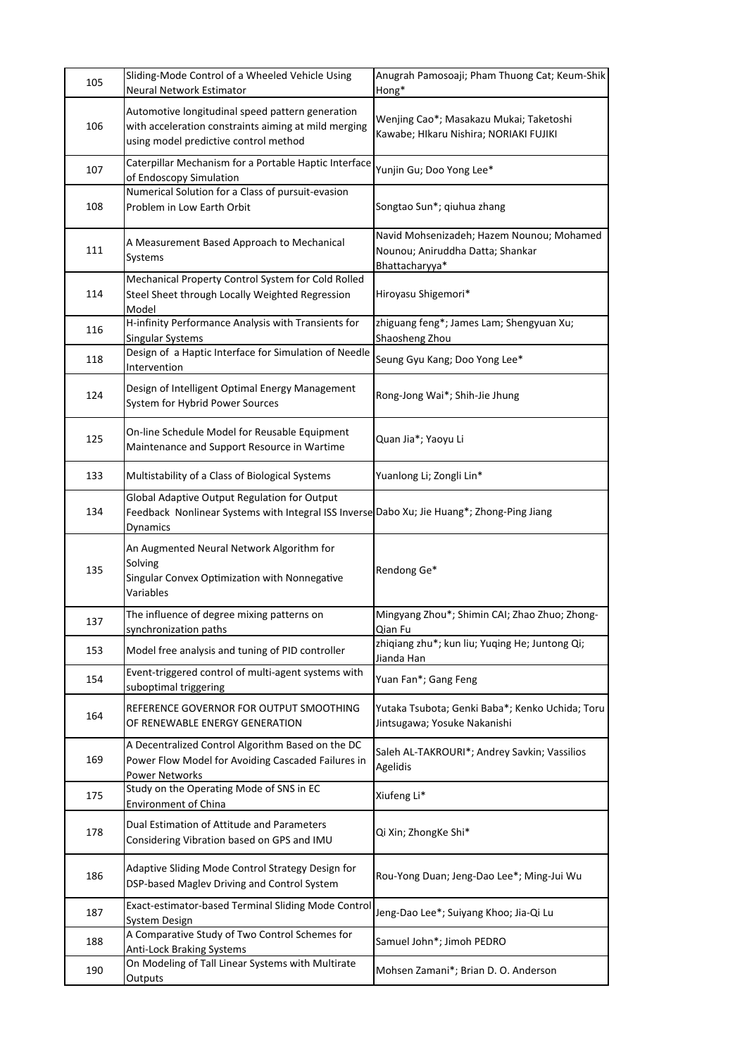| 105 | Sliding-Mode Control of a Wheeled Vehicle Using<br>Neural Network Estimator                                                                                   | Anugrah Pamosoaji; Pham Thuong Cat; Keum-Shik<br>Hong*                                          |
|-----|---------------------------------------------------------------------------------------------------------------------------------------------------------------|-------------------------------------------------------------------------------------------------|
| 106 | Automotive longitudinal speed pattern generation<br>with acceleration constraints aiming at mild merging<br>using model predictive control method             | Wenjing Cao*; Masakazu Mukai; Taketoshi<br>Kawabe; HIkaru Nishira; NORIAKI FUJIKI               |
| 107 | Caterpillar Mechanism for a Portable Haptic Interface<br>of Endoscopy Simulation                                                                              | Yunjin Gu; Doo Yong Lee*                                                                        |
| 108 | Numerical Solution for a Class of pursuit-evasion<br>Problem in Low Earth Orbit                                                                               | Songtao Sun*; qiuhua zhang                                                                      |
| 111 | A Measurement Based Approach to Mechanical<br>Systems                                                                                                         | Navid Mohsenizadeh; Hazem Nounou; Mohamed<br>Nounou; Aniruddha Datta; Shankar<br>Bhattacharyya* |
| 114 | Mechanical Property Control System for Cold Rolled<br>Steel Sheet through Locally Weighted Regression<br>Model                                                | Hiroyasu Shigemori*                                                                             |
| 116 | H-infinity Performance Analysis with Transients for<br>Singular Systems                                                                                       | zhiguang feng*; James Lam; Shengyuan Xu;<br>Shaosheng Zhou                                      |
| 118 | Design of a Haptic Interface for Simulation of Needle<br>Intervention                                                                                         | Seung Gyu Kang; Doo Yong Lee*                                                                   |
| 124 | Design of Intelligent Optimal Energy Management<br>System for Hybrid Power Sources                                                                            | Rong-Jong Wai*; Shih-Jie Jhung                                                                  |
| 125 | On-line Schedule Model for Reusable Equipment<br>Maintenance and Support Resource in Wartime                                                                  | Quan Jia*; Yaoyu Li                                                                             |
| 133 | Multistability of a Class of Biological Systems                                                                                                               | Yuanlong Li; Zongli Lin*                                                                        |
| 134 | Global Adaptive Output Regulation for Output<br>Feedback Nonlinear Systems with Integral ISS Inverse Dabo Xu; Jie Huang*; Zhong-Ping Jiang<br><b>Dynamics</b> |                                                                                                 |
| 135 | An Augmented Neural Network Algorithm for<br>Solving<br>Singular Convex Optimization with Nonnegative<br>Variables                                            | Rendong Ge*                                                                                     |
| 137 | The influence of degree mixing patterns on<br>synchronization paths                                                                                           | Mingyang Zhou*; Shimin CAI; Zhao Zhuo; Zhong-<br>Qian Fu                                        |
| 153 | Model free analysis and tuning of PID controller                                                                                                              | zhiqiang zhu*; kun liu; Yuqing He; Juntong Qi;<br>Jianda Han                                    |
| 154 | Event-triggered control of multi-agent systems with<br>suboptimal triggering                                                                                  | Yuan Fan*; Gang Feng                                                                            |
| 164 | REFERENCE GOVERNOR FOR OUTPUT SMOOTHING<br>OF RENEWABLE ENERGY GENERATION                                                                                     | Yutaka Tsubota; Genki Baba*; Kenko Uchida; Toru<br>Jintsugawa; Yosuke Nakanishi                 |
| 169 | A Decentralized Control Algorithm Based on the DC<br>Power Flow Model for Avoiding Cascaded Failures in<br><b>Power Networks</b>                              | Saleh AL-TAKROURI*; Andrey Savkin; Vassilios<br>Agelidis                                        |
| 175 | Study on the Operating Mode of SNS in EC<br><b>Environment of China</b>                                                                                       | Xiufeng Li*                                                                                     |
| 178 | Dual Estimation of Attitude and Parameters<br>Considering Vibration based on GPS and IMU                                                                      | Qi Xin; ZhongKe Shi*                                                                            |
| 186 | Adaptive Sliding Mode Control Strategy Design for<br>DSP-based Maglev Driving and Control System                                                              | Rou-Yong Duan; Jeng-Dao Lee*; Ming-Jui Wu                                                       |
| 187 | Exact-estimator-based Terminal Sliding Mode Control<br>System Design                                                                                          | Jeng-Dao Lee*; Suiyang Khoo; Jia-Qi Lu                                                          |
| 188 | A Comparative Study of Two Control Schemes for<br><b>Anti-Lock Braking Systems</b>                                                                            | Samuel John*; Jimoh PEDRO                                                                       |
| 190 | On Modeling of Tall Linear Systems with Multirate<br>Outputs                                                                                                  | Mohsen Zamani*; Brian D. O. Anderson                                                            |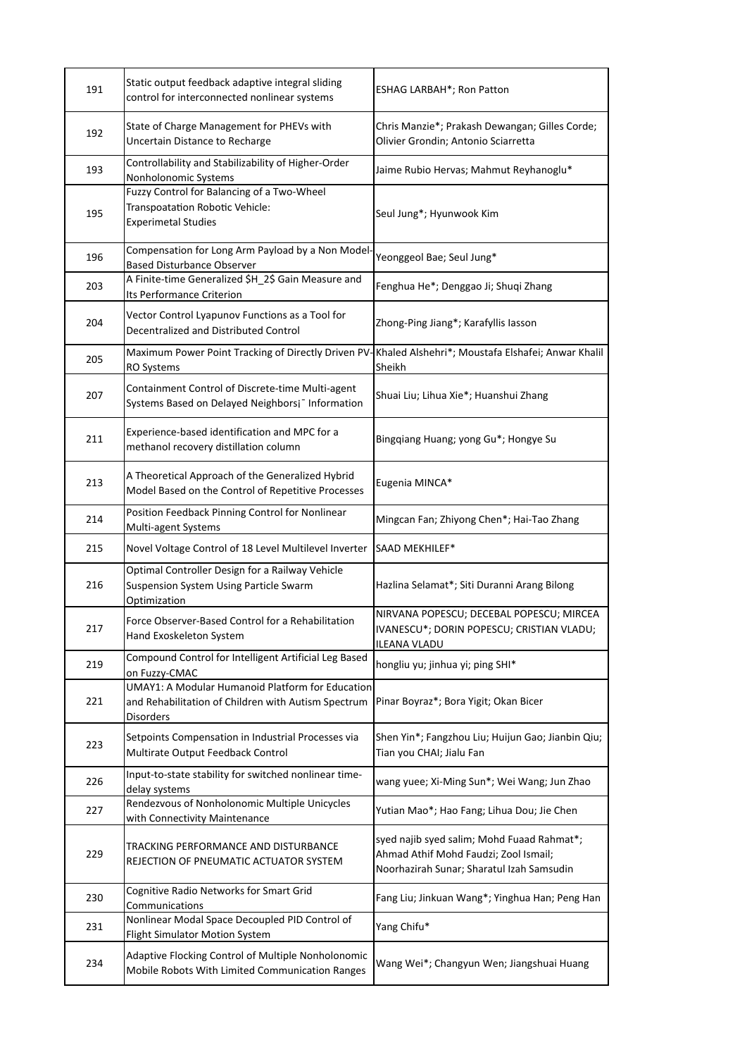| 191 | Static output feedback adaptive integral sliding<br>control for interconnected nonlinear systems                            | ESHAG LARBAH*; Ron Patton                                                                                                        |
|-----|-----------------------------------------------------------------------------------------------------------------------------|----------------------------------------------------------------------------------------------------------------------------------|
| 192 | State of Charge Management for PHEVs with<br>Uncertain Distance to Recharge                                                 | Chris Manzie*; Prakash Dewangan; Gilles Corde;<br>Olivier Grondin; Antonio Sciarretta                                            |
| 193 | Controllability and Stabilizability of Higher-Order<br>Nonholonomic Systems                                                 | Jaime Rubio Hervas; Mahmut Reyhanoglu*                                                                                           |
| 195 | Fuzzy Control for Balancing of a Two-Wheel<br>Transpoatation Robotic Vehicle:<br><b>Experimetal Studies</b>                 | Seul Jung*; Hyunwook Kim                                                                                                         |
| 196 | Compensation for Long Arm Payload by a Non Model<br><b>Based Disturbance Observer</b>                                       | Yeonggeol Bae; Seul Jung*                                                                                                        |
| 203 | A Finite-time Generalized \$H_2\$ Gain Measure and<br>Its Performance Criterion                                             | Fenghua He*; Denggao Ji; Shuqi Zhang                                                                                             |
| 204 | Vector Control Lyapunov Functions as a Tool for<br>Decentralized and Distributed Control                                    | Zhong-Ping Jiang*; Karafyllis lasson                                                                                             |
| 205 | Maximum Power Point Tracking of Directly Driven PV<br><b>RO Systems</b>                                                     | Khaled Alshehri*; Moustafa Elshafei; Anwar Khalil<br>Sheikh                                                                      |
| 207 | Containment Control of Discrete-time Multi-agent<br>Systems Based on Delayed Neighborsj <sup>-</sup> Information            | Shuai Liu; Lihua Xie*; Huanshui Zhang                                                                                            |
| 211 | Experience-based identification and MPC for a<br>methanol recovery distillation column                                      | Bingqiang Huang; yong Gu*; Hongye Su                                                                                             |
| 213 | A Theoretical Approach of the Generalized Hybrid<br>Model Based on the Control of Repetitive Processes                      | Eugenia MINCA*                                                                                                                   |
| 214 | Position Feedback Pinning Control for Nonlinear<br>Multi-agent Systems                                                      | Mingcan Fan; Zhiyong Chen*; Hai-Tao Zhang                                                                                        |
| 215 | Novel Voltage Control of 18 Level Multilevel Inverter                                                                       | SAAD MEKHILEF*                                                                                                                   |
| 216 | Optimal Controller Design for a Railway Vehicle<br>Suspension System Using Particle Swarm<br>Optimization                   | Hazlina Selamat*; Siti Duranni Arang Bilong                                                                                      |
| 217 | Force Observer-Based Control for a Rehabilitation<br>Hand Exoskeleton System                                                | NIRVANA POPESCU; DECEBAL POPESCU; MIRCEA<br>IVANESCU*; DORIN POPESCU; CRISTIAN VLADU;<br><b>ILEANA VLADU</b>                     |
| 219 | Compound Control for Intelligent Artificial Leg Based<br>on Fuzzy-CMAC                                                      | hongliu yu; jinhua yi; ping SHI*                                                                                                 |
| 221 | <b>UMAY1: A Modular Humanoid Platform for Education</b><br>and Rehabilitation of Children with Autism Spectrum<br>Disorders | Pinar Boyraz*; Bora Yigit; Okan Bicer                                                                                            |
| 223 | Setpoints Compensation in Industrial Processes via<br>Multirate Output Feedback Control                                     | Shen Yin*; Fangzhou Liu; Huijun Gao; Jianbin Qiu;<br>Tian you CHAI; Jialu Fan                                                    |
| 226 | Input-to-state stability for switched nonlinear time-<br>delay systems                                                      | wang yuee; Xi-Ming Sun*; Wei Wang; Jun Zhao                                                                                      |
| 227 | Rendezvous of Nonholonomic Multiple Unicycles<br>with Connectivity Maintenance                                              | Yutian Mao*; Hao Fang; Lihua Dou; Jie Chen                                                                                       |
| 229 | TRACKING PERFORMANCE AND DISTURBANCE<br>REJECTION OF PNEUMATIC ACTUATOR SYSTEM                                              | syed najib syed salim; Mohd Fuaad Rahmat*;<br>Ahmad Athif Mohd Faudzi; Zool Ismail;<br>Noorhazirah Sunar; Sharatul Izah Samsudin |
| 230 | Cognitive Radio Networks for Smart Grid<br>Communications                                                                   | Fang Liu; Jinkuan Wang*; Yinghua Han; Peng Han                                                                                   |
| 231 | Nonlinear Modal Space Decoupled PID Control of<br>Flight Simulator Motion System                                            | Yang Chifu*                                                                                                                      |
| 234 | Adaptive Flocking Control of Multiple Nonholonomic<br>Mobile Robots With Limited Communication Ranges                       | Wang Wei*; Changyun Wen; Jiangshuai Huang                                                                                        |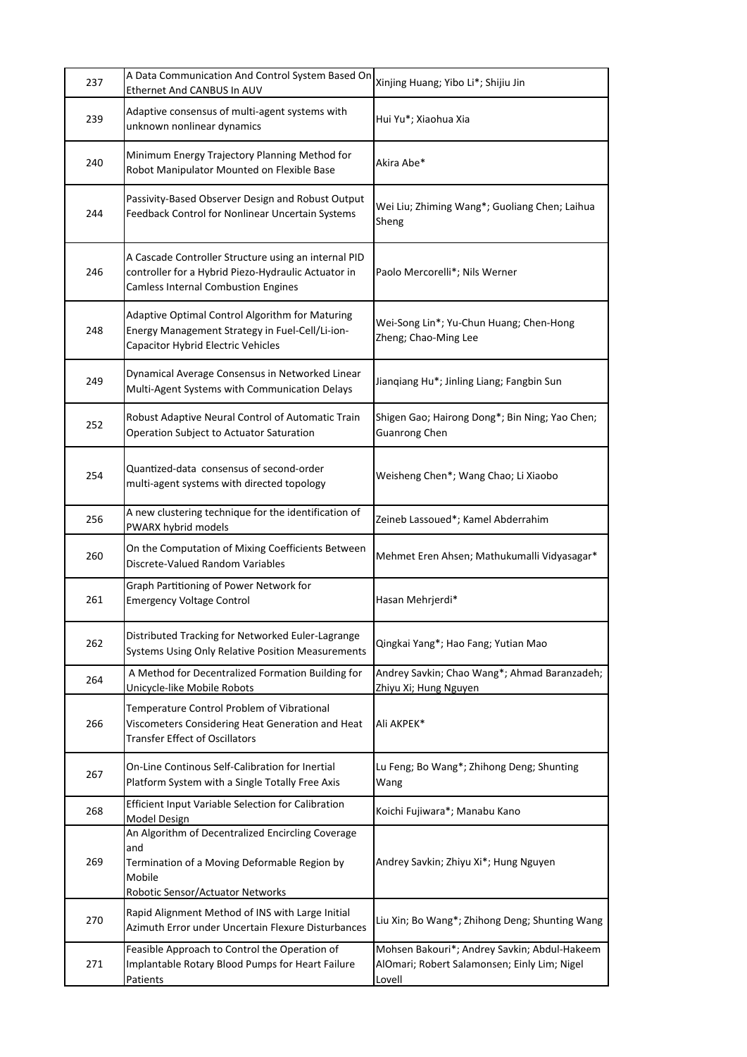| 237 | A Data Communication And Control System Based On<br>Ethernet And CANBUS In AUV                                                                            | Xinjing Huang; Yibo Li*; Shijiu Jin                                                                    |
|-----|-----------------------------------------------------------------------------------------------------------------------------------------------------------|--------------------------------------------------------------------------------------------------------|
| 239 | Adaptive consensus of multi-agent systems with<br>unknown nonlinear dynamics                                                                              | Hui Yu*; Xiaohua Xia                                                                                   |
| 240 | Minimum Energy Trajectory Planning Method for<br>Robot Manipulator Mounted on Flexible Base                                                               | Akira Abe*                                                                                             |
| 244 | Passivity-Based Observer Design and Robust Output<br>Feedback Control for Nonlinear Uncertain Systems                                                     | Wei Liu; Zhiming Wang*; Guoliang Chen; Laihua<br>Sheng                                                 |
| 246 | A Cascade Controller Structure using an internal PID<br>controller for a Hybrid Piezo-Hydraulic Actuator in<br><b>Camless Internal Combustion Engines</b> | Paolo Mercorelli*; Nils Werner                                                                         |
| 248 | Adaptive Optimal Control Algorithm for Maturing<br>Energy Management Strategy in Fuel-Cell/Li-ion-<br>Capacitor Hybrid Electric Vehicles                  | Wei-Song Lin*; Yu-Chun Huang; Chen-Hong<br>Zheng; Chao-Ming Lee                                        |
| 249 | Dynamical Average Consensus in Networked Linear<br>Multi-Agent Systems with Communication Delays                                                          | Jianqiang Hu*; Jinling Liang; Fangbin Sun                                                              |
| 252 | Robust Adaptive Neural Control of Automatic Train<br>Operation Subject to Actuator Saturation                                                             | Shigen Gao; Hairong Dong*; Bin Ning; Yao Chen;<br><b>Guanrong Chen</b>                                 |
| 254 | Quantized-data consensus of second-order<br>multi-agent systems with directed topology                                                                    | Weisheng Chen*; Wang Chao; Li Xiaobo                                                                   |
| 256 | A new clustering technique for the identification of<br>PWARX hybrid models                                                                               | Zeineb Lassoued*; Kamel Abderrahim                                                                     |
| 260 | On the Computation of Mixing Coefficients Between<br>Discrete-Valued Random Variables                                                                     | Mehmet Eren Ahsen; Mathukumalli Vidyasagar*                                                            |
| 261 | Graph Partitioning of Power Network for<br><b>Emergency Voltage Control</b>                                                                               | Hasan Mehrjerdi*                                                                                       |
| 262 | Distributed Tracking for Networked Euler-Lagrange<br>Systems Using Only Relative Position Measurements                                                    | Qingkai Yang*; Hao Fang; Yutian Mao                                                                    |
| 264 | A Method for Decentralized Formation Building for<br>Unicycle-like Mobile Robots                                                                          | Andrey Savkin; Chao Wang*; Ahmad Baranzadeh;<br>Zhiyu Xi; Hung Nguyen                                  |
| 266 | Temperature Control Problem of Vibrational<br>Viscometers Considering Heat Generation and Heat<br><b>Transfer Effect of Oscillators</b>                   | Ali AKPEK*                                                                                             |
| 267 | On-Line Continous Self-Calibration for Inertial<br>Platform System with a Single Totally Free Axis                                                        | Lu Feng; Bo Wang*; Zhihong Deng; Shunting<br>Wang                                                      |
| 268 | Efficient Input Variable Selection for Calibration<br>Model Design                                                                                        | Koichi Fujiwara*; Manabu Kano                                                                          |
| 269 | An Algorithm of Decentralized Encircling Coverage<br>and<br>Termination of a Moving Deformable Region by<br>Mobile<br>Robotic Sensor/Actuator Networks    | Andrey Savkin; Zhiyu Xi*; Hung Nguyen                                                                  |
| 270 | Rapid Alignment Method of INS with Large Initial<br>Azimuth Error under Uncertain Flexure Disturbances                                                    | Liu Xin; Bo Wang*; Zhihong Deng; Shunting Wang                                                         |
| 271 | Feasible Approach to Control the Operation of<br>Implantable Rotary Blood Pumps for Heart Failure<br><b>Patients</b>                                      | Mohsen Bakouri*; Andrey Savkin; Abdul-Hakeem<br>AlOmari; Robert Salamonsen; Einly Lim; Nigel<br>Lovell |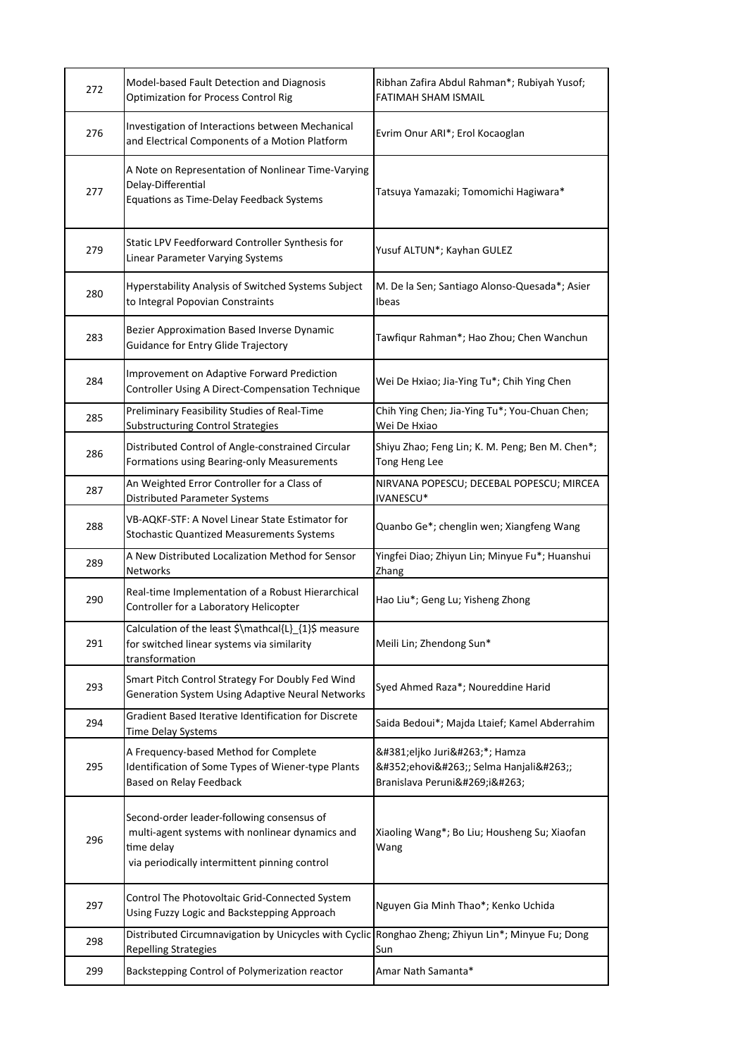| 272 | Model-based Fault Detection and Diagnosis<br><b>Optimization for Process Control Rig</b>                                                                     | Ribhan Zafira Abdul Rahman*; Rubiyah Yusof;<br>FATIMAH SHAM ISMAIL       |
|-----|--------------------------------------------------------------------------------------------------------------------------------------------------------------|--------------------------------------------------------------------------|
| 276 | Investigation of Interactions between Mechanical<br>and Electrical Components of a Motion Platform                                                           | Evrim Onur ARI*; Erol Kocaoglan                                          |
| 277 | A Note on Representation of Nonlinear Time-Varying<br>Delay-Differential<br>Equations as Time-Delay Feedback Systems                                         | Tatsuya Yamazaki; Tomomichi Hagiwara*                                    |
| 279 | Static LPV Feedforward Controller Synthesis for<br>Linear Parameter Varying Systems                                                                          | Yusuf ALTUN*; Kayhan GULEZ                                               |
| 280 | Hyperstability Analysis of Switched Systems Subject<br>to Integral Popovian Constraints                                                                      | M. De la Sen; Santiago Alonso-Quesada*; Asier<br>Ibeas                   |
| 283 | Bezier Approximation Based Inverse Dynamic<br>Guidance for Entry Glide Trajectory                                                                            | Tawfiqur Rahman*; Hao Zhou; Chen Wanchun                                 |
| 284 | Improvement on Adaptive Forward Prediction<br>Controller Using A Direct-Compensation Technique                                                               | Wei De Hxiao; Jia-Ying Tu*; Chih Ying Chen                               |
| 285 | Preliminary Feasibility Studies of Real-Time<br><b>Substructuring Control Strategies</b>                                                                     | Chih Ying Chen; Jia-Ying Tu*; You-Chuan Chen;<br>Wei De Hxiao            |
| 286 | Distributed Control of Angle-constrained Circular<br>Formations using Bearing-only Measurements                                                              | Shiyu Zhao; Feng Lin; K. M. Peng; Ben M. Chen*;<br>Tong Heng Lee         |
| 287 | An Weighted Error Controller for a Class of<br>Distributed Parameter Systems                                                                                 | NIRVANA POPESCU; DECEBAL POPESCU; MIRCEA<br>IVANESCU*                    |
| 288 | VB-AQKF-STF: A Novel Linear State Estimator for<br>Stochastic Quantized Measurements Systems                                                                 | Quanbo Ge*; chenglin wen; Xiangfeng Wang                                 |
| 289 | A New Distributed Localization Method for Sensor<br><b>Networks</b>                                                                                          | Yingfei Diao; Zhiyun Lin; Minyue Fu*; Huanshui<br>Zhang                  |
| 290 | Real-time Implementation of a Robust Hierarchical<br>Controller for a Laboratory Helicopter                                                                  | Hao Liu*; Geng Lu; Yisheng Zhong                                         |
| 291 | Calculation of the least \$\mathcal{L}_{1}\$ measure<br>for switched linear systems via similarity<br>transformation                                         | Meili Lin; Zhendong Sun*                                                 |
| 293 | Smart Pitch Control Strategy For Doubly Fed Wind<br>Generation System Using Adaptive Neural Networks                                                         | Syed Ahmed Raza*; Noureddine Harid                                       |
| 294 | Gradient Based Iterative Identification for Discrete<br>Time Delay Systems                                                                                   | Saida Bedoui*; Majda Ltaief; Kamel Abderrahim                            |
| 295 | A Frequency-based Method for Complete<br>Identification of Some Types of Wiener-type Plants<br>Based on Relay Feedback                                       | Željko Jurić*; Hamza<br>Šehović; Selma Hanjalić;<br>Branislava Peruničić |
| 296 | Second-order leader-following consensus of<br>multi-agent systems with nonlinear dynamics and<br>time delay<br>via periodically intermittent pinning control | Xiaoling Wang*; Bo Liu; Housheng Su; Xiaofan<br>Wang                     |
| 297 | Control The Photovoltaic Grid-Connected System<br>Using Fuzzy Logic and Backstepping Approach                                                                | Nguyen Gia Minh Thao*; Kenko Uchida                                      |
| 298 | Distributed Circumnavigation by Unicycles with Cyclic Ronghao Zheng; Zhiyun Lin*; Minyue Fu; Dong<br><b>Repelling Strategies</b>                             | Sun                                                                      |
| 299 | Backstepping Control of Polymerization reactor                                                                                                               | Amar Nath Samanta*                                                       |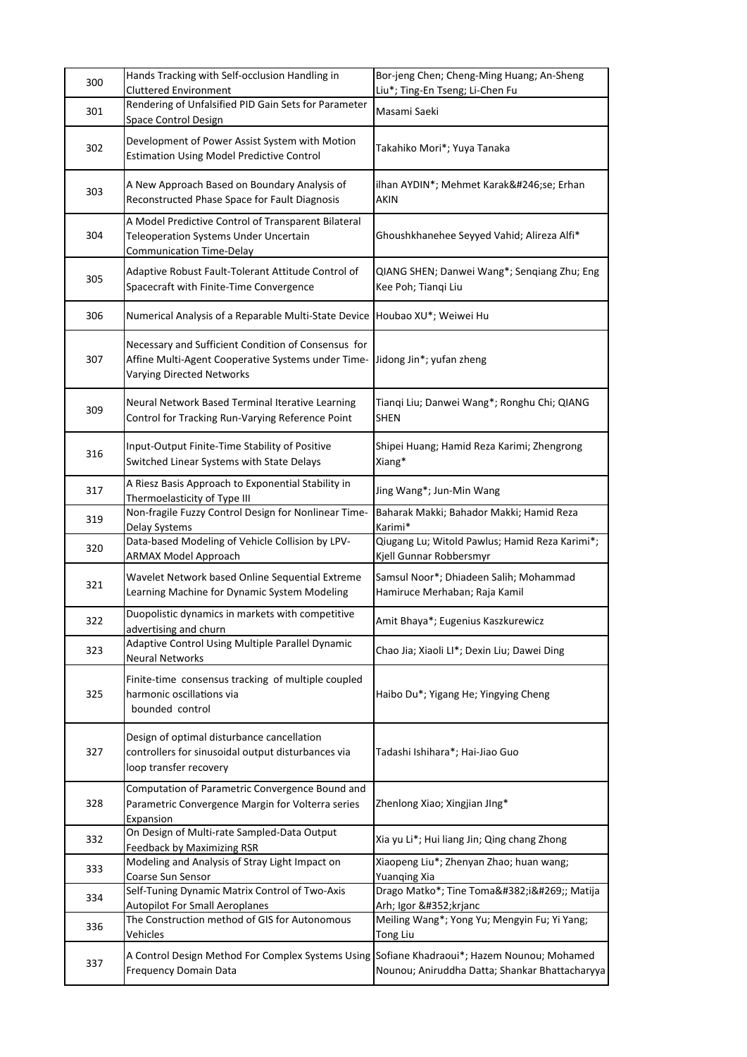| 300 | Hands Tracking with Self-occlusion Handling in<br>Cluttered Environment                                                                | Bor-jeng Chen; Cheng-Ming Huang; An-Sheng<br>Liu*; Ting-En Tseng; Li-Chen Fu |
|-----|----------------------------------------------------------------------------------------------------------------------------------------|------------------------------------------------------------------------------|
| 301 | Rendering of Unfalsified PID Gain Sets for Parameter<br>Space Control Design                                                           | Masami Saeki                                                                 |
| 302 | Development of Power Assist System with Motion<br><b>Estimation Using Model Predictive Control</b>                                     | Takahiko Mori*; Yuya Tanaka                                                  |
| 303 | A New Approach Based on Boundary Analysis of<br>Reconstructed Phase Space for Fault Diagnosis                                          | ilhan AYDIN*; Mehmet Karaköse; Erhan<br>AKIN                                 |
| 304 | A Model Predictive Control of Transparent Bilateral<br>Teleoperation Systems Under Uncertain<br>Communication Time-Delay               | Ghoushkhanehee Seyyed Vahid; Alireza Alfi*                                   |
| 305 | Adaptive Robust Fault-Tolerant Attitude Control of<br>Spacecraft with Finite-Time Convergence                                          | QIANG SHEN; Danwei Wang*; Senqiang Zhu; Eng<br>Kee Poh; Tianqi Liu           |
| 306 | Numerical Analysis of a Reparable Multi-State Device                                                                                   | Houbao XU*; Weiwei Hu                                                        |
| 307 | Necessary and Sufficient Condition of Consensus for<br>Affine Multi-Agent Cooperative Systems under Time-<br>Varying Directed Networks | Jidong Jin*; yufan zheng                                                     |
| 309 | Neural Network Based Terminal Iterative Learning<br>Control for Tracking Run-Varying Reference Point                                   | Tianqi Liu; Danwei Wang*; Ronghu Chi; QIANG<br><b>SHEN</b>                   |
| 316 | Input-Output Finite-Time Stability of Positive<br>Switched Linear Systems with State Delays                                            | Shipei Huang; Hamid Reza Karimi; Zhengrong<br>Xiang*                         |
| 317 | A Riesz Basis Approach to Exponential Stability in<br>Thermoelasticity of Type III                                                     | Jing Wang*; Jun-Min Wang                                                     |
| 319 | Non-fragile Fuzzy Control Design for Nonlinear Time-<br>Delay Systems                                                                  | Baharak Makki; Bahador Makki; Hamid Reza<br>Karimi*                          |
| 320 | Data-based Modeling of Vehicle Collision by LPV-<br>ARMAX Model Approach                                                               | Qiugang Lu; Witold Pawlus; Hamid Reza Karimi*;<br>Kjell Gunnar Robbersmyr    |
| 321 | Wavelet Network based Online Sequential Extreme<br>Learning Machine for Dynamic System Modeling                                        | Samsul Noor*; Dhiadeen Salih; Mohammad<br>Hamiruce Merhaban; Raja Kamil      |
| 322 | Duopolistic dynamics in markets with competitive<br>advertising and churn                                                              | Amit Bhaya*; Eugenius Kaszkurewicz                                           |
| 323 | Adaptive Control Using Multiple Parallel Dynamic<br><b>Neural Networks</b>                                                             | Chao Jia; Xiaoli LI*; Dexin Liu; Dawei Ding                                  |
| 325 | Finite-time consensus tracking of multiple coupled<br>harmonic oscillations via<br>bounded control                                     | Haibo Du*; Yigang He; Yingying Cheng                                         |
| 327 | Design of optimal disturbance cancellation<br>controllers for sinusoidal output disturbances via<br>loop transfer recovery             | Tadashi Ishihara*; Hai-Jiao Guo                                              |
| 328 | Computation of Parametric Convergence Bound and<br>Parametric Convergence Margin for Volterra series<br>Expansion                      | Zhenlong Xiao; Xingjian JIng*                                                |
| 332 | On Design of Multi-rate Sampled-Data Output<br><b>Feedback by Maximizing RSR</b>                                                       | Xia yu Li*; Hui liang Jin; Qing chang Zhong                                  |
| 333 | Modeling and Analysis of Stray Light Impact on<br>Coarse Sun Sensor                                                                    | Xiaopeng Liu*; Zhenyan Zhao; huan wang;<br><b>Yuanqing Xia</b>               |
| 334 | Self-Tuning Dynamic Matrix Control of Two-Axis<br><b>Autopilot For Small Aeroplanes</b>                                                | Drago Matko*; Tine Tomažič; Matija<br>Arh; Igor Škrjanc                      |
| 336 | The Construction method of GIS for Autonomous<br>Vehicles                                                                              | Meiling Wang*; Yong Yu; Mengyin Fu; Yi Yang;<br>Tong Liu                     |
| 337 | A Control Design Method For Complex Systems Using Sofiane Khadraoui*; Hazem Nounou; Mohamed<br>Frequency Domain Data                   | Nounou; Aniruddha Datta; Shankar Bhattacharyya                               |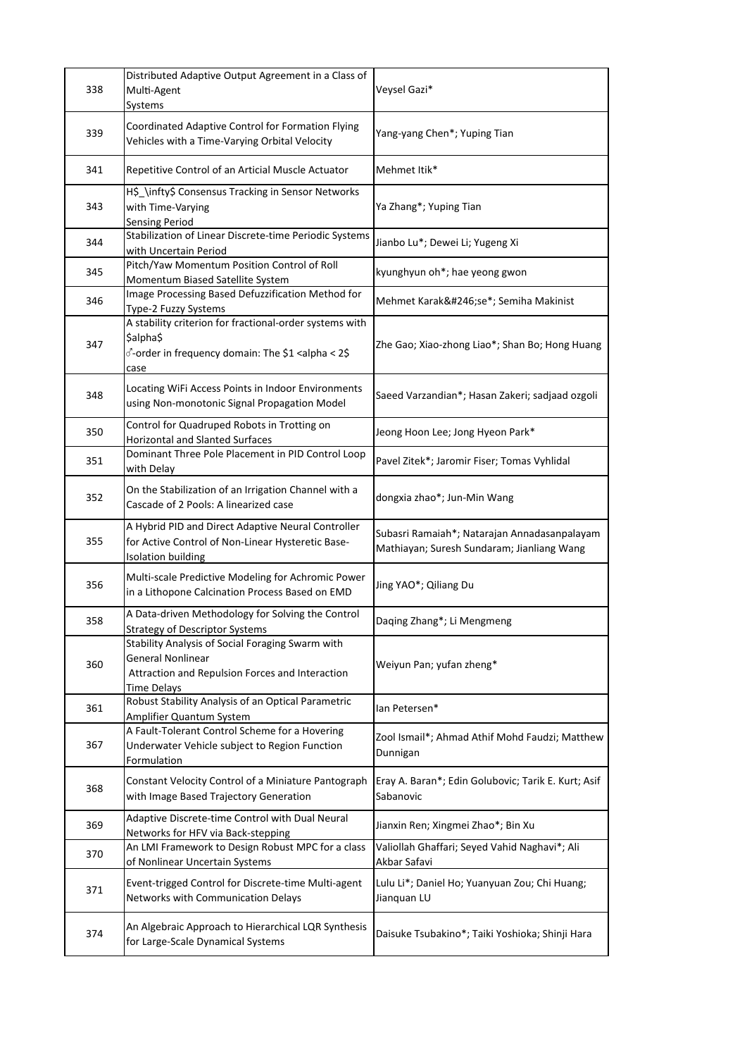| 338 | Distributed Adaptive Output Agreement in a Class of<br>Multi-Agent<br>Systems                                                                   | Veysel Gazi*                                                                               |
|-----|-------------------------------------------------------------------------------------------------------------------------------------------------|--------------------------------------------------------------------------------------------|
| 339 | Coordinated Adaptive Control for Formation Flying<br>Vehicles with a Time-Varying Orbital Velocity                                              | Yang-yang Chen*; Yuping Tian                                                               |
| 341 | Repetitive Control of an Articial Muscle Actuator                                                                                               | Mehmet Itik*                                                                               |
| 343 | H\$_\infty\$ Consensus Tracking in Sensor Networks<br>with Time-Varying<br><b>Sensing Period</b>                                                | Ya Zhang*; Yuping Tian                                                                     |
| 344 | Stabilization of Linear Discrete-time Periodic Systems<br>with Uncertain Period                                                                 | Jianbo Lu*; Dewei Li; Yugeng Xi                                                            |
| 345 | Pitch/Yaw Momentum Position Control of Roll<br>Momentum Biased Satellite System                                                                 | kyunghyun oh*; hae yeong gwon                                                              |
| 346 | Image Processing Based Defuzzification Method for<br>Type-2 Fuzzy Systems                                                                       | Mehmet Karaköse*; Semiha Makinist                                                          |
| 347 | A stability criterion for fractional-order systems with<br>\$alpha\$<br>√-order in frequency domain: The \$1 <alpha 2\$<br="" <="">case</alpha> | Zhe Gao; Xiao-zhong Liao*; Shan Bo; Hong Huang                                             |
| 348 | Locating WiFi Access Points in Indoor Environments<br>using Non-monotonic Signal Propagation Model                                              | Saeed Varzandian*; Hasan Zakeri; sadjaad ozgoli                                            |
| 350 | Control for Quadruped Robots in Trotting on<br><b>Horizontal and Slanted Surfaces</b>                                                           | Jeong Hoon Lee; Jong Hyeon Park*                                                           |
| 351 | Dominant Three Pole Placement in PID Control Loop<br>with Delay                                                                                 | Pavel Zitek*; Jaromir Fiser; Tomas Vyhlidal                                                |
| 352 | On the Stabilization of an Irrigation Channel with a<br>Cascade of 2 Pools: A linearized case                                                   | dongxia zhao*; Jun-Min Wang                                                                |
| 355 | A Hybrid PID and Direct Adaptive Neural Controller<br>for Active Control of Non-Linear Hysteretic Base-<br><b>Isolation building</b>            | Subasri Ramaiah*; Natarajan Annadasanpalayam<br>Mathiayan; Suresh Sundaram; Jianliang Wang |
| 356 | Multi-scale Predictive Modeling for Achromic Power<br>in a Lithopone Calcination Process Based on EMD                                           | Jing YAO*; Qiliang Du                                                                      |
| 358 | A Data-driven Methodology for Solving the Control<br><b>Strategy of Descriptor Systems</b>                                                      | Daqing Zhang*; Li Mengmeng                                                                 |
| 360 | Stability Analysis of Social Foraging Swarm with<br><b>General Nonlinear</b><br>Attraction and Repulsion Forces and Interaction<br>Time Delays  | Weiyun Pan; yufan zheng*                                                                   |
| 361 | Robust Stability Analysis of an Optical Parametric<br>Amplifier Quantum System                                                                  | lan Petersen*                                                                              |
| 367 | A Fault-Tolerant Control Scheme for a Hovering<br>Underwater Vehicle subject to Region Function<br>Formulation                                  | Zool Ismail*; Ahmad Athif Mohd Faudzi; Matthew<br>Dunnigan                                 |
| 368 | Constant Velocity Control of a Miniature Pantograph<br>with Image Based Trajectory Generation                                                   | Eray A. Baran*; Edin Golubovic; Tarik E. Kurt; Asif<br>Sabanovic                           |
| 369 | Adaptive Discrete-time Control with Dual Neural<br>Networks for HFV via Back-stepping                                                           | Jianxin Ren; Xingmei Zhao*; Bin Xu                                                         |
| 370 | An LMI Framework to Design Robust MPC for a class<br>of Nonlinear Uncertain Systems                                                             | Valiollah Ghaffari; Seyed Vahid Naghavi*; Ali<br>Akbar Safavi                              |
| 371 | Event-trigged Control for Discrete-time Multi-agent<br>Networks with Communication Delays                                                       | Lulu Li*; Daniel Ho; Yuanyuan Zou; Chi Huang;<br>Jianquan LU                               |
| 374 | An Algebraic Approach to Hierarchical LQR Synthesis<br>for Large-Scale Dynamical Systems                                                        | Daisuke Tsubakino*; Taiki Yoshioka; Shinji Hara                                            |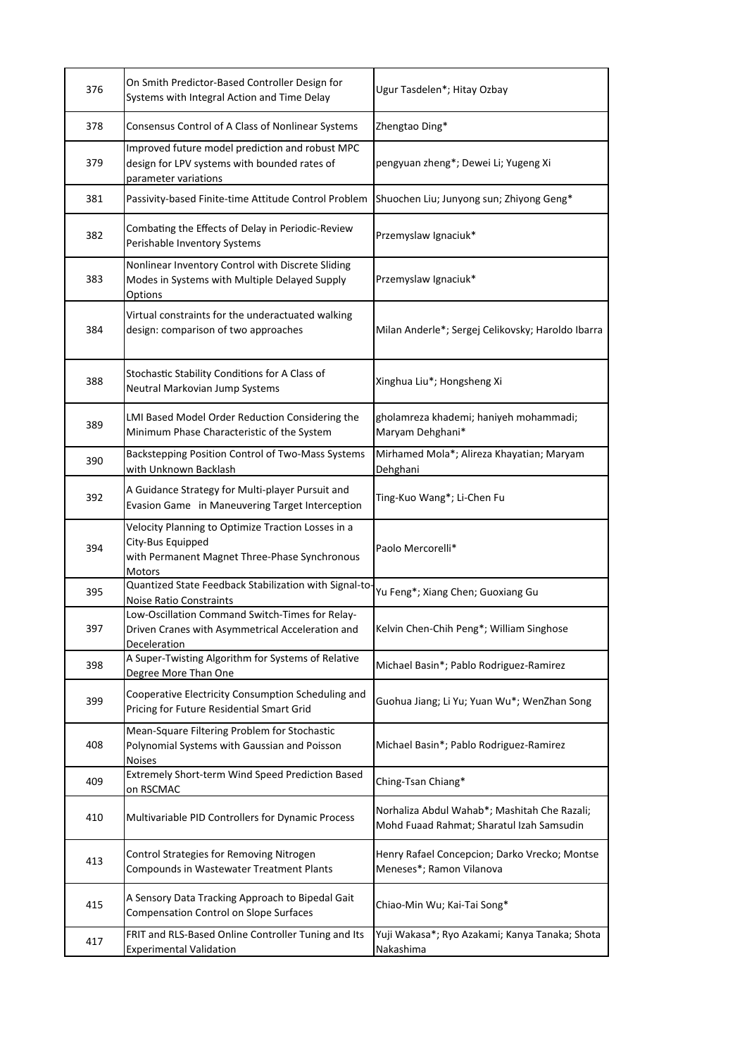| 376 | On Smith Predictor-Based Controller Design for<br>Systems with Integral Action and Time Delay                                      | Ugur Tasdelen*; Hitay Ozbay                                                               |
|-----|------------------------------------------------------------------------------------------------------------------------------------|-------------------------------------------------------------------------------------------|
| 378 | Consensus Control of A Class of Nonlinear Systems                                                                                  | Zhengtao Ding*                                                                            |
| 379 | Improved future model prediction and robust MPC<br>design for LPV systems with bounded rates of<br>parameter variations            | pengyuan zheng*; Dewei Li; Yugeng Xi                                                      |
| 381 | Passivity-based Finite-time Attitude Control Problem                                                                               | Shuochen Liu; Junyong sun; Zhiyong Geng*                                                  |
| 382 | Combating the Effects of Delay in Periodic-Review<br>Perishable Inventory Systems                                                  | Przemyslaw Ignaciuk*                                                                      |
| 383 | Nonlinear Inventory Control with Discrete Sliding<br>Modes in Systems with Multiple Delayed Supply<br>Options                      | Przemyslaw Ignaciuk*                                                                      |
| 384 | Virtual constraints for the underactuated walking<br>design: comparison of two approaches                                          | Milan Anderle*; Sergej Celikovsky; Haroldo Ibarra                                         |
| 388 | Stochastic Stability Conditions for A Class of<br>Neutral Markovian Jump Systems                                                   | Xinghua Liu*; Hongsheng Xi                                                                |
| 389 | LMI Based Model Order Reduction Considering the<br>Minimum Phase Characteristic of the System                                      | gholamreza khademi; haniyeh mohammadi;<br>Maryam Dehghani*                                |
| 390 | Backstepping Position Control of Two-Mass Systems<br>with Unknown Backlash                                                         | Mirhamed Mola*; Alireza Khayatian; Maryam<br>Dehghani                                     |
| 392 | A Guidance Strategy for Multi-player Pursuit and<br>Evasion Game in Maneuvering Target Interception                                | Ting-Kuo Wang*; Li-Chen Fu                                                                |
| 394 | Velocity Planning to Optimize Traction Losses in a<br>City-Bus Equipped<br>with Permanent Magnet Three-Phase Synchronous<br>Motors | Paolo Mercorelli*                                                                         |
| 395 | Quantized State Feedback Stabilization with Signal-to<br><b>Noise Ratio Constraints</b>                                            | Yu Feng*; Xiang Chen; Guoxiang Gu                                                         |
| 397 | Low-Oscillation Command Switch-Times for Relay-<br>Driven Cranes with Asymmetrical Acceleration and<br>Deceleration                | Kelvin Chen-Chih Peng*; William Singhose                                                  |
| 398 | A Super-Twisting Algorithm for Systems of Relative<br>Degree More Than One                                                         | Michael Basin*; Pablo Rodriguez-Ramirez                                                   |
| 399 | Cooperative Electricity Consumption Scheduling and<br>Pricing for Future Residential Smart Grid                                    | Guohua Jiang; Li Yu; Yuan Wu*; WenZhan Song                                               |
| 408 | Mean-Square Filtering Problem for Stochastic<br>Polynomial Systems with Gaussian and Poisson<br><b>Noises</b>                      | Michael Basin*; Pablo Rodriguez-Ramirez                                                   |
| 409 | Extremely Short-term Wind Speed Prediction Based<br>on RSCMAC                                                                      | Ching-Tsan Chiang*                                                                        |
| 410 | Multivariable PID Controllers for Dynamic Process                                                                                  | Norhaliza Abdul Wahab*; Mashitah Che Razali;<br>Mohd Fuaad Rahmat; Sharatul Izah Samsudin |
| 413 | Control Strategies for Removing Nitrogen<br>Compounds in Wastewater Treatment Plants                                               | Henry Rafael Concepcion; Darko Vrecko; Montse<br>Meneses*; Ramon Vilanova                 |
| 415 | A Sensory Data Tracking Approach to Bipedal Gait<br><b>Compensation Control on Slope Surfaces</b>                                  | Chiao-Min Wu; Kai-Tai Song*                                                               |
| 417 | FRIT and RLS-Based Online Controller Tuning and Its<br><b>Experimental Validation</b>                                              | Yuji Wakasa*; Ryo Azakami; Kanya Tanaka; Shota<br>Nakashima                               |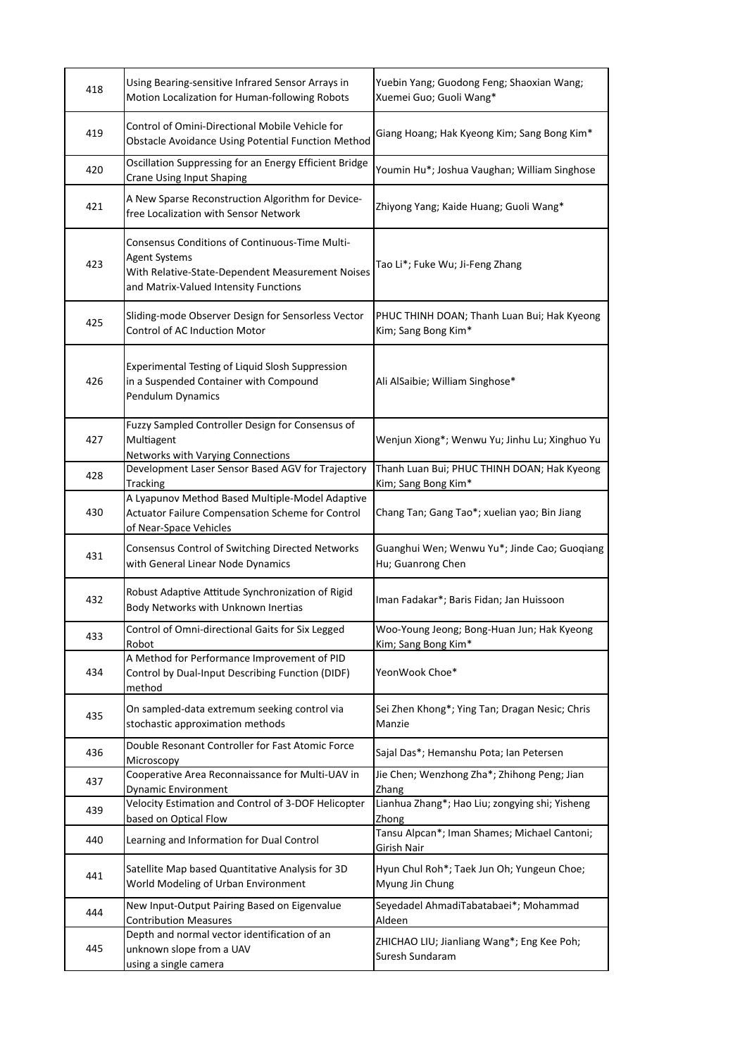| 418 | Using Bearing-sensitive Infrared Sensor Arrays in<br>Motion Localization for Human-following Robots                                                                 | Yuebin Yang; Guodong Feng; Shaoxian Wang;<br>Xuemei Guo; Guoli Wang* |
|-----|---------------------------------------------------------------------------------------------------------------------------------------------------------------------|----------------------------------------------------------------------|
| 419 | Control of Omini-Directional Mobile Vehicle for<br>Obstacle Avoidance Using Potential Function Method                                                               | Giang Hoang; Hak Kyeong Kim; Sang Bong Kim*                          |
| 420 | Oscillation Suppressing for an Energy Efficient Bridge<br><b>Crane Using Input Shaping</b>                                                                          | Youmin Hu*; Joshua Vaughan; William Singhose                         |
| 421 | A New Sparse Reconstruction Algorithm for Device-<br>free Localization with Sensor Network                                                                          | Zhiyong Yang; Kaide Huang; Guoli Wang*                               |
| 423 | Consensus Conditions of Continuous-Time Multi-<br><b>Agent Systems</b><br>With Relative-State-Dependent Measurement Noises<br>and Matrix-Valued Intensity Functions | Tao Li*; Fuke Wu; Ji-Feng Zhang                                      |
| 425 | Sliding-mode Observer Design for Sensorless Vector<br>Control of AC Induction Motor                                                                                 | PHUC THINH DOAN; Thanh Luan Bui; Hak Kyeong<br>Kim; Sang Bong Kim*   |
| 426 | Experimental Testing of Liquid Slosh Suppression<br>in a Suspended Container with Compound<br>Pendulum Dynamics                                                     | Ali AlSaibie; William Singhose*                                      |
| 427 | Fuzzy Sampled Controller Design for Consensus of<br>Multiagent<br><b>Networks with Varying Connections</b>                                                          | Wenjun Xiong*; Wenwu Yu; Jinhu Lu; Xinghuo Yu                        |
| 428 | Development Laser Sensor Based AGV for Trajectory<br><b>Tracking</b>                                                                                                | Thanh Luan Bui; PHUC THINH DOAN; Hak Kyeong<br>Kim; Sang Bong Kim*   |
| 430 | A Lyapunov Method Based Multiple-Model Adaptive<br>Actuator Failure Compensation Scheme for Control<br>of Near-Space Vehicles                                       | Chang Tan; Gang Tao*; xuelian yao; Bin Jiang                         |
| 431 | Consensus Control of Switching Directed Networks<br>with General Linear Node Dynamics                                                                               | Guanghui Wen; Wenwu Yu*; Jinde Cao; Guoqiang<br>Hu; Guanrong Chen    |
| 432 | Robust Adaptive Attitude Synchronization of Rigid<br>Body Networks with Unknown Inertias                                                                            | Iman Fadakar*; Baris Fidan; Jan Huissoon                             |
| 433 | Control of Omni-directional Gaits for Six Legged<br>Robot                                                                                                           | Woo-Young Jeong; Bong-Huan Jun; Hak Kyeong<br>Kim; Sang Bong Kim*    |
| 434 | A Method for Performance Improvement of PID<br>Control by Dual-Input Describing Function (DIDF)<br>method                                                           | YeonWook Choe*                                                       |
| 435 | On sampled-data extremum seeking control via<br>stochastic approximation methods                                                                                    | Sei Zhen Khong*; Ying Tan; Dragan Nesic; Chris<br>Manzie             |
| 436 | Double Resonant Controller for Fast Atomic Force<br>Microscopy                                                                                                      | Sajal Das*; Hemanshu Pota; Ian Petersen                              |
| 437 | Cooperative Area Reconnaissance for Multi-UAV in<br>Dynamic Environment                                                                                             | Jie Chen; Wenzhong Zha*; Zhihong Peng; Jian<br>Zhang                 |
| 439 | Velocity Estimation and Control of 3-DOF Helicopter<br>based on Optical Flow                                                                                        | Lianhua Zhang*; Hao Liu; zongying shi; Yisheng<br>Zhong              |
| 440 | Learning and Information for Dual Control                                                                                                                           | Tansu Alpcan*; Iman Shames; Michael Cantoni;<br>Girish Nair          |
| 441 | Satellite Map based Quantitative Analysis for 3D<br>World Modeling of Urban Environment                                                                             | Hyun Chul Roh*; Taek Jun Oh; Yungeun Choe;<br>Myung Jin Chung        |
| 444 | New Input-Output Pairing Based on Eigenvalue<br><b>Contribution Measures</b>                                                                                        | Seyedadel AhmadiTabatabaei*; Mohammad<br>Aldeen                      |
| 445 | Depth and normal vector identification of an<br>unknown slope from a UAV<br>using a single camera                                                                   | ZHICHAO LIU; Jianliang Wang*; Eng Kee Poh;<br>Suresh Sundaram        |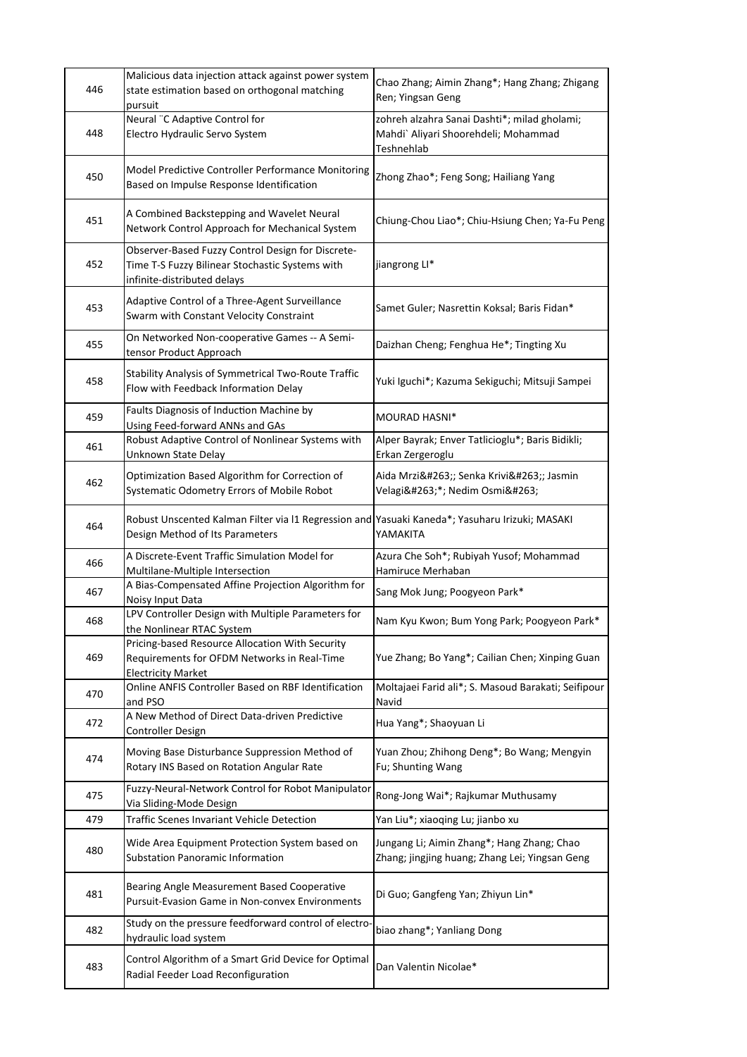| 446 | Malicious data injection attack against power system<br>state estimation based on orthogonal matching<br>pursuit                    | Chao Zhang; Aimin Zhang*; Hang Zhang; Zhigang<br>Ren; Yingsan Geng                                 |
|-----|-------------------------------------------------------------------------------------------------------------------------------------|----------------------------------------------------------------------------------------------------|
| 448 | Neural "C Adaptive Control for<br>Electro Hydraulic Servo System                                                                    | zohreh alzahra Sanai Dashti*; milad gholami;<br>Mahdi` Aliyari Shoorehdeli; Mohammad<br>Teshnehlab |
| 450 | Model Predictive Controller Performance Monitoring<br>Based on Impulse Response Identification                                      | Zhong Zhao*; Feng Song; Hailiang Yang                                                              |
| 451 | A Combined Backstepping and Wavelet Neural<br>Network Control Approach for Mechanical System                                        | Chiung-Chou Liao*; Chiu-Hsiung Chen; Ya-Fu Peng                                                    |
| 452 | Observer-Based Fuzzy Control Design for Discrete-<br>Time T-S Fuzzy Bilinear Stochastic Systems with<br>infinite-distributed delays | jiangrong LI*                                                                                      |
| 453 | Adaptive Control of a Three-Agent Surveillance<br>Swarm with Constant Velocity Constraint                                           | Samet Guler; Nasrettin Koksal; Baris Fidan*                                                        |
| 455 | On Networked Non-cooperative Games -- A Semi-<br>tensor Product Approach                                                            | Daizhan Cheng; Fenghua He*; Tingting Xu                                                            |
| 458 | Stability Analysis of Symmetrical Two-Route Traffic<br>Flow with Feedback Information Delay                                         | Yuki Iguchi*; Kazuma Sekiguchi; Mitsuji Sampei                                                     |
| 459 | Faults Diagnosis of Induction Machine by<br>Using Feed-forward ANNs and GAs                                                         | <b>MOURAD HASNI*</b>                                                                               |
| 461 | Robust Adaptive Control of Nonlinear Systems with<br>Unknown State Delay                                                            | Alper Bayrak; Enver Tatlicioglu*; Baris Bidikli;<br>Erkan Zergeroglu                               |
| 462 | Optimization Based Algorithm for Correction of<br>Systematic Odometry Errors of Mobile Robot                                        | Aida Mrzić; Senka Krivić; Jasmin<br>Velagić*; Nedim Osmić                                          |
| 464 | Robust Unscented Kalman Filter via I1 Regression and Yasuaki Kaneda*; Yasuharu Irizuki; MASAKI<br>Design Method of Its Parameters   | YAMAKITA                                                                                           |
| 466 | A Discrete-Event Traffic Simulation Model for<br>Multilane-Multiple Intersection                                                    | Azura Che Soh*; Rubiyah Yusof; Mohammad<br>Hamiruce Merhaban                                       |
| 467 | A Bias-Compensated Affine Projection Algorithm for<br>Noisy Input Data                                                              | Sang Mok Jung; Poogyeon Park*                                                                      |
| 468 | LPV Controller Design with Multiple Parameters for<br>the Nonlinear RTAC System                                                     | Nam Kyu Kwon; Bum Yong Park; Poogyeon Park*                                                        |
| 469 | Pricing-based Resource Allocation With Security<br>Requirements for OFDM Networks in Real-Time<br><b>Electricity Market</b>         | Yue Zhang; Bo Yang*; Cailian Chen; Xinping Guan                                                    |
| 470 | Online ANFIS Controller Based on RBF Identification<br>and PSO                                                                      | Moltajaei Farid ali*; S. Masoud Barakati; Seifipour<br>Navid                                       |
| 472 | A New Method of Direct Data-driven Predictive<br><b>Controller Design</b>                                                           | Hua Yang*; Shaoyuan Li                                                                             |
| 474 | Moving Base Disturbance Suppression Method of<br>Rotary INS Based on Rotation Angular Rate                                          | Yuan Zhou; Zhihong Deng*; Bo Wang; Mengyin<br>Fu; Shunting Wang                                    |
| 475 | Fuzzy-Neural-Network Control for Robot Manipulator<br>Via Sliding-Mode Design                                                       | Rong-Jong Wai*; Rajkumar Muthusamy                                                                 |
| 479 | Traffic Scenes Invariant Vehicle Detection                                                                                          | Yan Liu*; xiaoqing Lu; jianbo xu                                                                   |
| 480 | Wide Area Equipment Protection System based on<br>Substation Panoramic Information                                                  | Jungang Li; Aimin Zhang*; Hang Zhang; Chao<br>Zhang; jingjing huang; Zhang Lei; Yingsan Geng       |
| 481 | Bearing Angle Measurement Based Cooperative<br>Pursuit-Evasion Game in Non-convex Environments                                      | Di Guo; Gangfeng Yan; Zhiyun Lin*                                                                  |
| 482 | Study on the pressure feedforward control of electro<br>hydraulic load system                                                       | biao zhang*; Yanliang Dong                                                                         |
| 483 | Control Algorithm of a Smart Grid Device for Optimal<br>Radial Feeder Load Reconfiguration                                          | Dan Valentin Nicolae*                                                                              |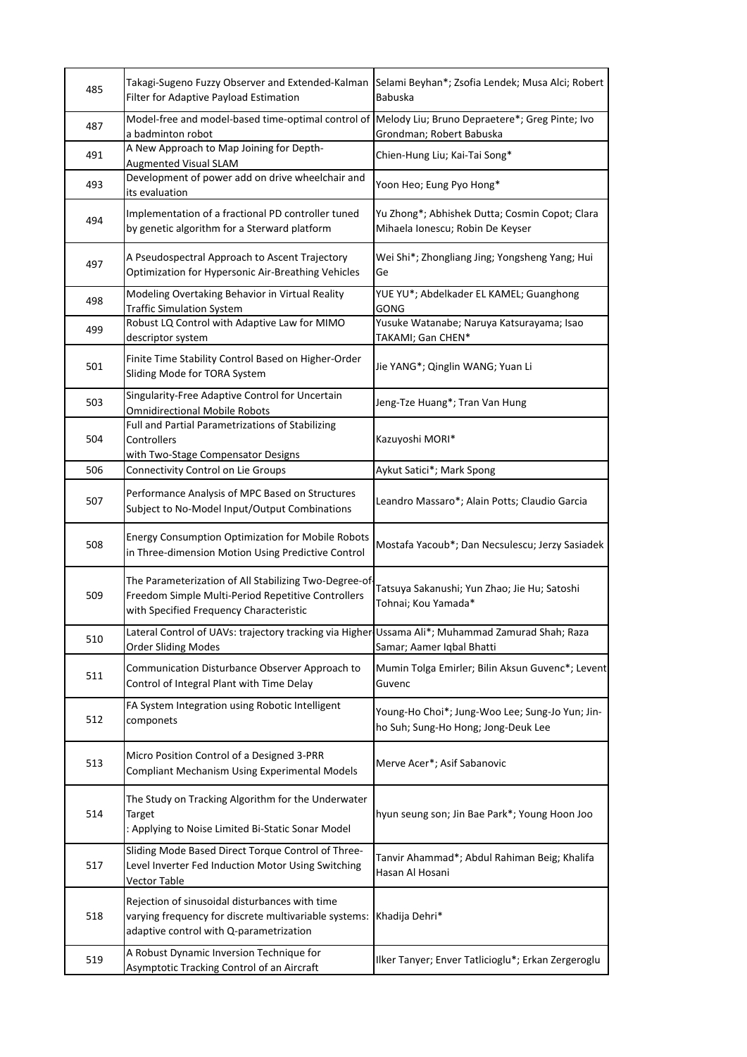| 485 | Takagi-Sugeno Fuzzy Observer and Extended-Kalman<br>Filter for Adaptive Payload Estimation                                                             | Selami Beyhan*; Zsofia Lendek; Musa Alci; Robert<br><b>Babuska</b>                     |
|-----|--------------------------------------------------------------------------------------------------------------------------------------------------------|----------------------------------------------------------------------------------------|
| 487 | Model-free and model-based time-optimal control of<br>a badminton robot                                                                                | Melody Liu; Bruno Depraetere*; Greg Pinte; Ivo<br>Grondman; Robert Babuska             |
| 491 | A New Approach to Map Joining for Depth-<br><b>Augmented Visual SLAM</b>                                                                               | Chien-Hung Liu; Kai-Tai Song*                                                          |
| 493 | Development of power add on drive wheelchair and<br>its evaluation                                                                                     | Yoon Heo; Eung Pyo Hong*                                                               |
| 494 | Implementation of a fractional PD controller tuned<br>by genetic algorithm for a Sterward platform                                                     | Yu Zhong*; Abhishek Dutta; Cosmin Copot; Clara<br>Mihaela Ionescu; Robin De Keyser     |
| 497 | A Pseudospectral Approach to Ascent Trajectory<br><b>Optimization for Hypersonic Air-Breathing Vehicles</b>                                            | Wei Shi*; Zhongliang Jing; Yongsheng Yang; Hui<br>Ge                                   |
| 498 | Modeling Overtaking Behavior in Virtual Reality<br><b>Traffic Simulation System</b>                                                                    | YUE YU*; Abdelkader EL KAMEL; Guanghong<br>GONG                                        |
| 499 | Robust LQ Control with Adaptive Law for MIMO<br>descriptor system                                                                                      | Yusuke Watanabe; Naruya Katsurayama; Isao<br>TAKAMI; Gan CHEN*                         |
| 501 | Finite Time Stability Control Based on Higher-Order<br>Sliding Mode for TORA System                                                                    | Jie YANG*; Qinglin WANG; Yuan Li                                                       |
| 503 | Singularity-Free Adaptive Control for Uncertain<br><b>Omnidirectional Mobile Robots</b>                                                                | Jeng-Tze Huang*; Tran Van Hung                                                         |
| 504 | Full and Partial Parametrizations of Stabilizing<br>Controllers<br>with Two-Stage Compensator Designs                                                  | Kazuyoshi MORI*                                                                        |
| 506 | Connectivity Control on Lie Groups                                                                                                                     | Aykut Satici*; Mark Spong                                                              |
| 507 | Performance Analysis of MPC Based on Structures<br>Subject to No-Model Input/Output Combinations                                                       | Leandro Massaro*; Alain Potts; Claudio Garcia                                          |
| 508 | <b>Energy Consumption Optimization for Mobile Robots</b><br>in Three-dimension Motion Using Predictive Control                                         | Mostafa Yacoub*; Dan Necsulescu; Jerzy Sasiadek                                        |
| 509 | The Parameterization of All Stabilizing Two-Degree-of<br>Freedom Simple Multi-Period Repetitive Controllers<br>with Specified Frequency Characteristic | Tatsuya Sakanushi; Yun Zhao; Jie Hu; Satoshi<br>Tohnai; Kou Yamada*                    |
| 510 | Lateral Control of UAVs: trajectory tracking via Higher Ussama Ali*; Muhammad Zamurad Shah; Raza<br><b>Order Sliding Modes</b>                         | Samar; Aamer Iqbal Bhatti                                                              |
| 511 | Communication Disturbance Observer Approach to<br>Control of Integral Plant with Time Delay                                                            | Mumin Tolga Emirler; Bilin Aksun Guvenc*; Levent<br>Guvenc                             |
| 512 | FA System Integration using Robotic Intelligent<br>componets                                                                                           | Young-Ho Choi*; Jung-Woo Lee; Sung-Jo Yun; Jin-<br>ho Suh; Sung-Ho Hong; Jong-Deuk Lee |
| 513 | Micro Position Control of a Designed 3-PRR<br><b>Compliant Mechanism Using Experimental Models</b>                                                     | Merve Acer*; Asif Sabanovic                                                            |
| 514 | The Study on Tracking Algorithm for the Underwater<br>Target<br>: Applying to Noise Limited Bi-Static Sonar Model                                      | hyun seung son; Jin Bae Park*; Young Hoon Joo                                          |
| 517 | Sliding Mode Based Direct Torque Control of Three-<br>Level Inverter Fed Induction Motor Using Switching<br>Vector Table                               | Tanvir Ahammad*; Abdul Rahiman Beig; Khalifa<br>Hasan Al Hosani                        |
| 518 | Rejection of sinusoidal disturbances with time<br>varying frequency for discrete multivariable systems:<br>adaptive control with Q-parametrization     | Khadija Dehri*                                                                         |
| 519 | A Robust Dynamic Inversion Technique for<br>Asymptotic Tracking Control of an Aircraft                                                                 | Ilker Tanyer; Enver Tatlicioglu*; Erkan Zergeroglu                                     |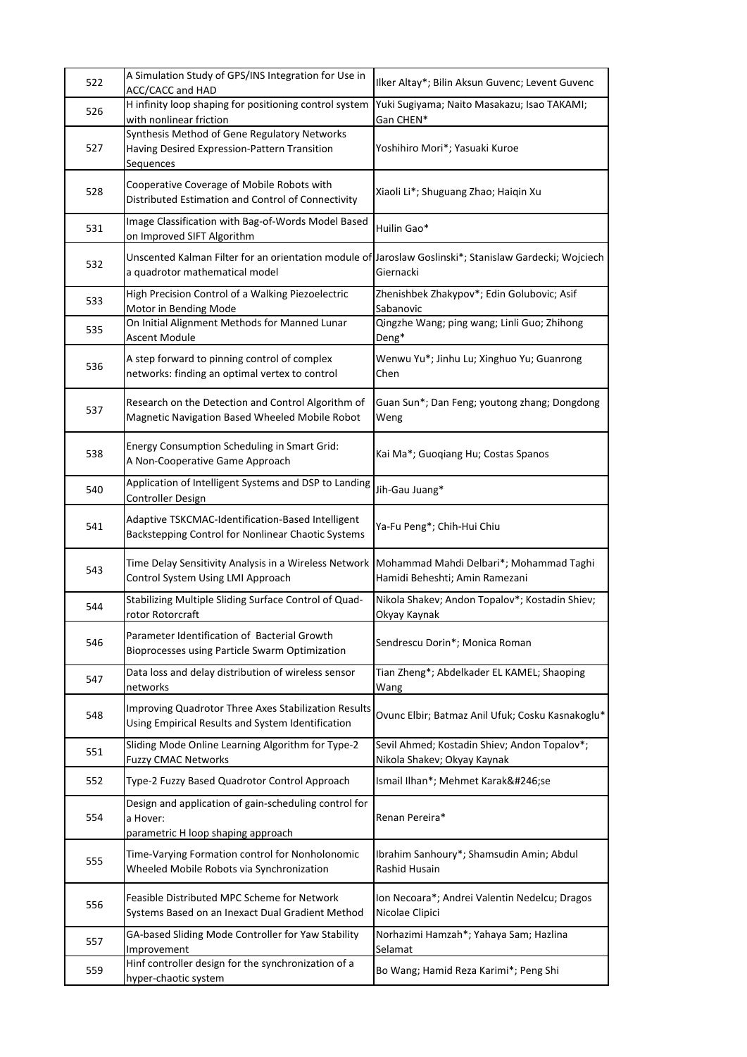| 522 | A Simulation Study of GPS/INS Integration for Use in<br>ACC/CACC and HAD                                                                 | Ilker Altay*; Bilin Aksun Guvenc; Levent Guvenc                             |
|-----|------------------------------------------------------------------------------------------------------------------------------------------|-----------------------------------------------------------------------------|
| 526 | H infinity loop shaping for positioning control system<br>with nonlinear friction                                                        | Yuki Sugiyama; Naito Masakazu; Isao TAKAMI;<br>Gan CHEN*                    |
| 527 | Synthesis Method of Gene Regulatory Networks<br>Having Desired Expression-Pattern Transition<br>Sequences                                | Yoshihiro Mori*; Yasuaki Kuroe                                              |
| 528 | Cooperative Coverage of Mobile Robots with<br>Distributed Estimation and Control of Connectivity                                         | Xiaoli Li*; Shuguang Zhao; Haiqin Xu                                        |
| 531 | Image Classification with Bag-of-Words Model Based<br>on Improved SIFT Algorithm                                                         | Huilin Gao*                                                                 |
| 532 | Unscented Kalman Filter for an orientation module of Jaroslaw Goslinski*; Stanislaw Gardecki; Wojciech<br>a quadrotor mathematical model | Giernacki                                                                   |
| 533 | High Precision Control of a Walking Piezoelectric<br>Motor in Bending Mode                                                               | Zhenishbek Zhakypov*; Edin Golubovic; Asif<br>Sabanovic                     |
| 535 | On Initial Alignment Methods for Manned Lunar<br>Ascent Module                                                                           | Qingzhe Wang; ping wang; Linli Guo; Zhihong<br>Deng*                        |
| 536 | A step forward to pinning control of complex<br>networks: finding an optimal vertex to control                                           | Wenwu Yu*; Jinhu Lu; Xinghuo Yu; Guanrong<br>Chen                           |
| 537 | Research on the Detection and Control Algorithm of<br>Magnetic Navigation Based Wheeled Mobile Robot                                     | Guan Sun*; Dan Feng; youtong zhang; Dongdong<br>Weng                        |
| 538 | Energy Consumption Scheduling in Smart Grid:<br>A Non-Cooperative Game Approach                                                          | Kai Ma*; Guoqiang Hu; Costas Spanos                                         |
| 540 | Application of Intelligent Systems and DSP to Landing<br>Controller Design                                                               | Jih-Gau Juang*                                                              |
| 541 | Adaptive TSKCMAC-Identification-Based Intelligent<br>Backstepping Control for Nonlinear Chaotic Systems                                  | Ya-Fu Peng*; Chih-Hui Chiu                                                  |
| 543 | Time Delay Sensitivity Analysis in a Wireless Network<br>Control System Using LMI Approach                                               | Mohammad Mahdi Delbari*; Mohammad Taghi<br>Hamidi Beheshti; Amin Ramezani   |
| 544 | Stabilizing Multiple Sliding Surface Control of Quad-<br>rotor Rotorcraft                                                                | Nikola Shakev; Andon Topalov*; Kostadin Shiev;<br>Okyay Kaynak              |
| 546 | Parameter Identification of Bacterial Growth<br>Bioprocesses using Particle Swarm Optimization                                           | Sendrescu Dorin*; Monica Roman                                              |
| 547 | Data loss and delay distribution of wireless sensor<br>networks                                                                          | Tian Zheng*; Abdelkader EL KAMEL; Shaoping<br>Wang                          |
| 548 | Improving Quadrotor Three Axes Stabilization Results<br>Using Empirical Results and System Identification                                | Ovunc Elbir; Batmaz Anil Ufuk; Cosku Kasnakoglu*                            |
| 551 | Sliding Mode Online Learning Algorithm for Type-2<br><b>Fuzzy CMAC Networks</b>                                                          | Sevil Ahmed; Kostadin Shiev; Andon Topalov*;<br>Nikola Shakev; Okyay Kaynak |
| 552 | Type-2 Fuzzy Based Quadrotor Control Approach                                                                                            | Ismail Ilhan*; Mehmet Karaköse                                              |
| 554 | Design and application of gain-scheduling control for<br>a Hover:<br>parametric H loop shaping approach                                  | Renan Pereira*                                                              |
| 555 | Time-Varying Formation control for Nonholonomic<br>Wheeled Mobile Robots via Synchronization                                             | Ibrahim Sanhoury*; Shamsudin Amin; Abdul<br>Rashid Husain                   |
| 556 | Feasible Distributed MPC Scheme for Network<br>Systems Based on an Inexact Dual Gradient Method                                          | Ion Necoara*; Andrei Valentin Nedelcu; Dragos<br>Nicolae Clipici            |
| 557 | GA-based Sliding Mode Controller for Yaw Stability<br>Improvement                                                                        | Norhazimi Hamzah*; Yahaya Sam; Hazlina<br>Selamat                           |
| 559 | Hinf controller design for the synchronization of a<br>hyper-chaotic system                                                              | Bo Wang; Hamid Reza Karimi*; Peng Shi                                       |
|     |                                                                                                                                          |                                                                             |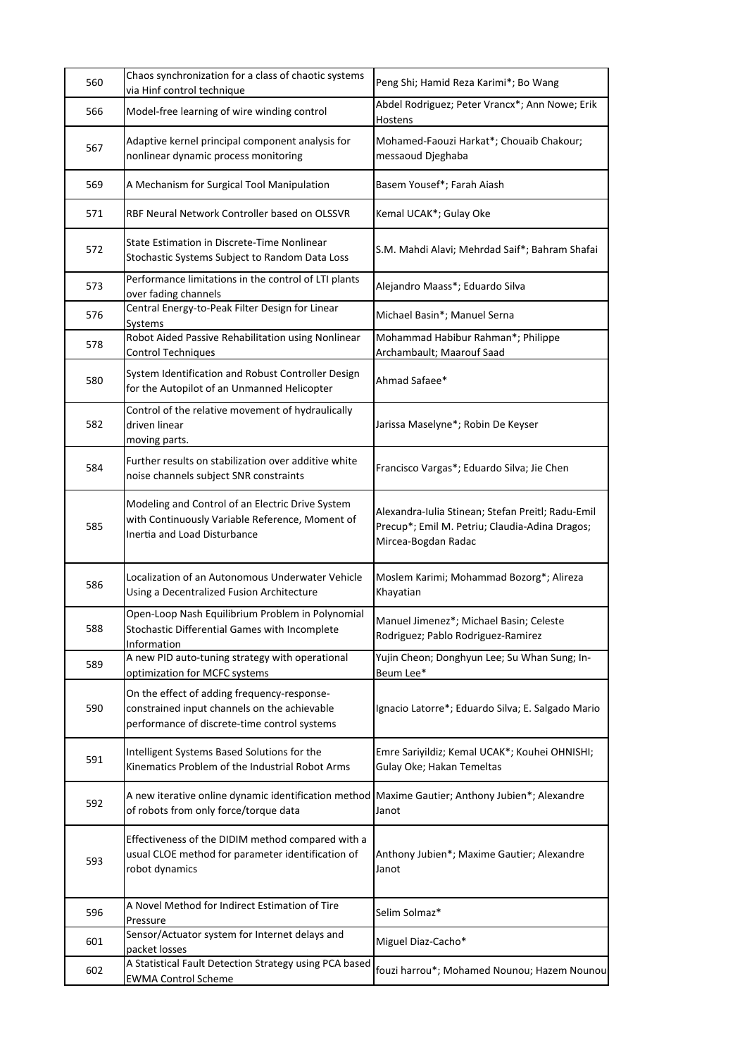| 560 | Chaos synchronization for a class of chaotic systems<br>via Hinf control technique                                                          | Peng Shi; Hamid Reza Karimi*; Bo Wang                                                                                      |
|-----|---------------------------------------------------------------------------------------------------------------------------------------------|----------------------------------------------------------------------------------------------------------------------------|
| 566 | Model-free learning of wire winding control                                                                                                 | Abdel Rodriguez; Peter Vrancx*; Ann Nowe; Erik<br>Hostens                                                                  |
| 567 | Adaptive kernel principal component analysis for<br>nonlinear dynamic process monitoring                                                    | Mohamed-Faouzi Harkat*; Chouaib Chakour;<br>messaoud Djeghaba                                                              |
| 569 | A Mechanism for Surgical Tool Manipulation                                                                                                  | Basem Yousef*; Farah Aiash                                                                                                 |
| 571 | RBF Neural Network Controller based on OLSSVR                                                                                               | Kemal UCAK*; Gulay Oke                                                                                                     |
| 572 | State Estimation in Discrete-Time Nonlinear<br>Stochastic Systems Subject to Random Data Loss                                               | S.M. Mahdi Alavi; Mehrdad Saif*; Bahram Shafai                                                                             |
| 573 | Performance limitations in the control of LTI plants<br>over fading channels                                                                | Alejandro Maass*; Eduardo Silva                                                                                            |
| 576 | Central Energy-to-Peak Filter Design for Linear<br>Systems                                                                                  | Michael Basin*; Manuel Serna                                                                                               |
| 578 | Robot Aided Passive Rehabilitation using Nonlinear<br><b>Control Techniques</b>                                                             | Mohammad Habibur Rahman*; Philippe<br>Archambault; Maarouf Saad                                                            |
| 580 | System Identification and Robust Controller Design<br>for the Autopilot of an Unmanned Helicopter                                           | Ahmad Safaee*                                                                                                              |
| 582 | Control of the relative movement of hydraulically<br>driven linear<br>moving parts.                                                         | Jarissa Maselyne*; Robin De Keyser                                                                                         |
| 584 | Further results on stabilization over additive white<br>noise channels subject SNR constraints                                              | Francisco Vargas*; Eduardo Silva; Jie Chen                                                                                 |
| 585 | Modeling and Control of an Electric Drive System<br>with Continuously Variable Reference, Moment of<br>Inertia and Load Disturbance         | Alexandra-Iulia Stinean; Stefan Preitl; Radu-Emil<br>Precup*; Emil M. Petriu; Claudia-Adina Dragos;<br>Mircea-Bogdan Radac |
| 586 | Localization of an Autonomous Underwater Vehicle<br>Using a Decentralized Fusion Architecture                                               | Moslem Karimi; Mohammad Bozorg*; Alireza<br>Khayatian                                                                      |
| 588 | Open-Loop Nash Equilibrium Problem in Polynomial<br>Stochastic Differential Games with Incomplete<br>Information                            | Manuel Jimenez*; Michael Basin; Celeste<br>Rodriguez; Pablo Rodriguez-Ramirez                                              |
| 589 | A new PID auto-tuning strategy with operational<br>optimization for MCFC systems                                                            | Yujin Cheon; Donghyun Lee; Su Whan Sung; In-<br>Beum Lee*                                                                  |
| 590 | On the effect of adding frequency-response-<br>constrained input channels on the achievable<br>performance of discrete-time control systems | Ignacio Latorre*; Eduardo Silva; E. Salgado Mario                                                                          |
| 591 | Intelligent Systems Based Solutions for the<br>Kinematics Problem of the Industrial Robot Arms                                              | Emre Sariyildiz; Kemal UCAK*; Kouhei OHNISHI;<br>Gulay Oke; Hakan Temeltas                                                 |
| 592 | A new iterative online dynamic identification method<br>of robots from only force/torque data                                               | Maxime Gautier; Anthony Jubien*; Alexandre<br>Janot                                                                        |
| 593 | Effectiveness of the DIDIM method compared with a<br>usual CLOE method for parameter identification of<br>robot dynamics                    | Anthony Jubien*; Maxime Gautier; Alexandre<br>Janot                                                                        |
| 596 | A Novel Method for Indirect Estimation of Tire<br>Pressure                                                                                  | Selim Solmaz*                                                                                                              |
| 601 | Sensor/Actuator system for Internet delays and<br>packet losses                                                                             | Miguel Diaz-Cacho*                                                                                                         |
| 602 | A Statistical Fault Detection Strategy using PCA based<br><b>EWMA Control Scheme</b>                                                        | fouzi harrou*; Mohamed Nounou; Hazem Nounou                                                                                |
|     |                                                                                                                                             |                                                                                                                            |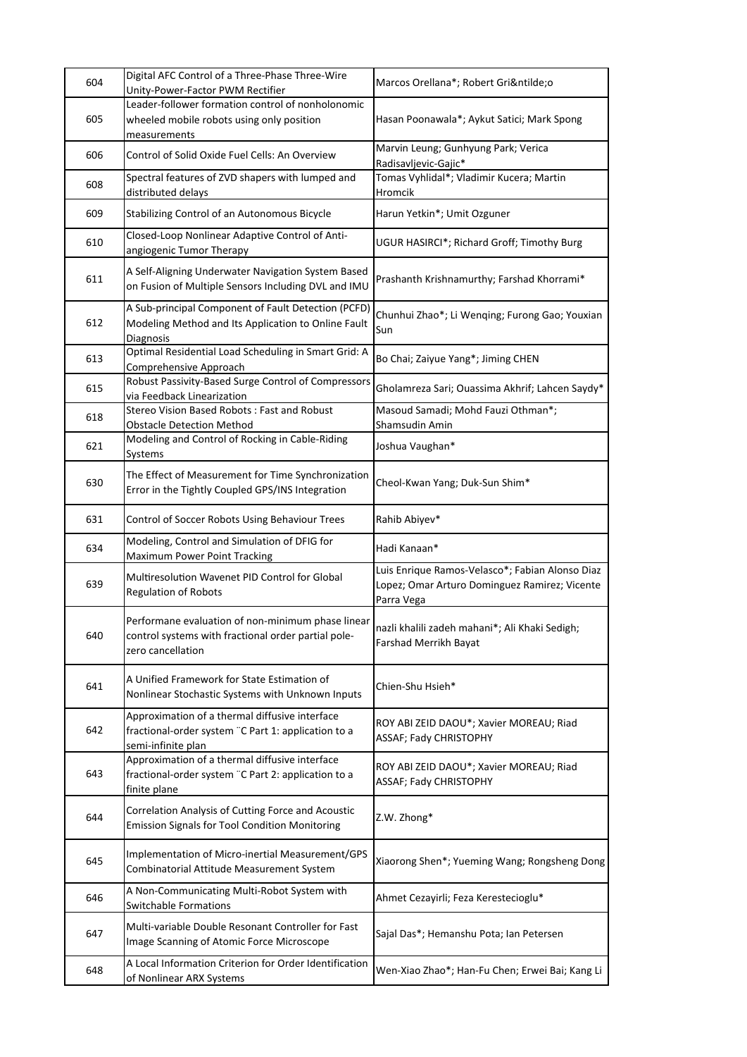| 604 | Digital AFC Control of a Three-Phase Three-Wire<br>Unity-Power-Factor PWM Rectifier                                            | Marcos Orellana*; Robert Griño                                                                                 |
|-----|--------------------------------------------------------------------------------------------------------------------------------|----------------------------------------------------------------------------------------------------------------|
| 605 | Leader-follower formation control of nonholonomic<br>wheeled mobile robots using only position<br>measurements                 | Hasan Poonawala*; Aykut Satici; Mark Spong                                                                     |
| 606 | Control of Solid Oxide Fuel Cells: An Overview                                                                                 | Marvin Leung; Gunhyung Park; Verica<br>Radisavljevic-Gajic*                                                    |
| 608 | Spectral features of ZVD shapers with lumped and<br>distributed delays                                                         | Tomas Vyhlidal*; Vladimir Kucera; Martin<br>Hromcik                                                            |
| 609 | Stabilizing Control of an Autonomous Bicycle                                                                                   | Harun Yetkin*; Umit Ozguner                                                                                    |
| 610 | Closed-Loop Nonlinear Adaptive Control of Anti-<br>angiogenic Tumor Therapy                                                    | UGUR HASIRCI*; Richard Groff; Timothy Burg                                                                     |
| 611 | A Self-Aligning Underwater Navigation System Based<br>on Fusion of Multiple Sensors Including DVL and IMU                      | Prashanth Krishnamurthy; Farshad Khorrami*                                                                     |
| 612 | A Sub-principal Component of Fault Detection (PCFD)<br>Modeling Method and Its Application to Online Fault<br><b>Diagnosis</b> | Chunhui Zhao*; Li Wenqing; Furong Gao; Youxian<br>Sun                                                          |
| 613 | Optimal Residential Load Scheduling in Smart Grid: A<br>Comprehensive Approach                                                 | Bo Chai; Zaiyue Yang*; Jiming CHEN                                                                             |
| 615 | Robust Passivity-Based Surge Control of Compressors<br>via Feedback Linearization                                              | Gholamreza Sari; Ouassima Akhrif; Lahcen Saydy*                                                                |
| 618 | Stereo Vision Based Robots: Fast and Robust<br><b>Obstacle Detection Method</b>                                                | Masoud Samadi; Mohd Fauzi Othman*;<br>Shamsudin Amin                                                           |
| 621 | Modeling and Control of Rocking in Cable-Riding<br>Systems                                                                     | Joshua Vaughan*                                                                                                |
| 630 | The Effect of Measurement for Time Synchronization<br>Error in the Tightly Coupled GPS/INS Integration                         | Cheol-Kwan Yang; Duk-Sun Shim*                                                                                 |
| 631 | Control of Soccer Robots Using Behaviour Trees                                                                                 | Rahib Abiyev*                                                                                                  |
| 634 | Modeling, Control and Simulation of DFIG for<br>Maximum Power Point Tracking                                                   | Hadi Kanaan*                                                                                                   |
| 639 | Multiresolution Wavenet PID Control for Global<br>Regulation of Robots                                                         | Luis Enrique Ramos-Velasco*; Fabian Alonso Diaz<br>Lopez; Omar Arturo Dominguez Ramirez; Vicente<br>Parra Vega |
| 640 | Performane evaluation of non-minimum phase linear<br>control systems with fractional order partial pole-<br>zero cancellation  | nazli khalili zadeh mahani*; Ali Khaki Sedigh;<br>Farshad Merrikh Bayat                                        |
| 641 | A Unified Framework for State Estimation of<br>Nonlinear Stochastic Systems with Unknown Inputs                                | Chien-Shu Hsieh*                                                                                               |
| 642 | Approximation of a thermal diffusive interface<br>fractional-order system "C Part 1: application to a<br>semi-infinite plan    | ROY ABI ZEID DAOU*; Xavier MOREAU; Riad<br>ASSAF; Fady CHRISTOPHY                                              |
| 643 | Approximation of a thermal diffusive interface<br>fractional-order system "C Part 2: application to a<br>finite plane          | ROY ABI ZEID DAOU*; Xavier MOREAU; Riad<br>ASSAF; Fady CHRISTOPHY                                              |
| 644 | Correlation Analysis of Cutting Force and Acoustic<br><b>Emission Signals for Tool Condition Monitoring</b>                    | Z.W. Zhong*                                                                                                    |
| 645 | Implementation of Micro-inertial Measurement/GPS<br>Combinatorial Attitude Measurement System                                  | Xiaorong Shen*; Yueming Wang; Rongsheng Dong                                                                   |
| 646 | A Non-Communicating Multi-Robot System with<br><b>Switchable Formations</b>                                                    | Ahmet Cezayirli; Feza Kerestecioglu*                                                                           |
| 647 | Multi-variable Double Resonant Controller for Fast<br>Image Scanning of Atomic Force Microscope                                | Sajal Das*; Hemanshu Pota; Ian Petersen                                                                        |
| 648 | A Local Information Criterion for Order Identification<br>of Nonlinear ARX Systems                                             | Wen-Xiao Zhao*; Han-Fu Chen; Erwei Bai; Kang Li                                                                |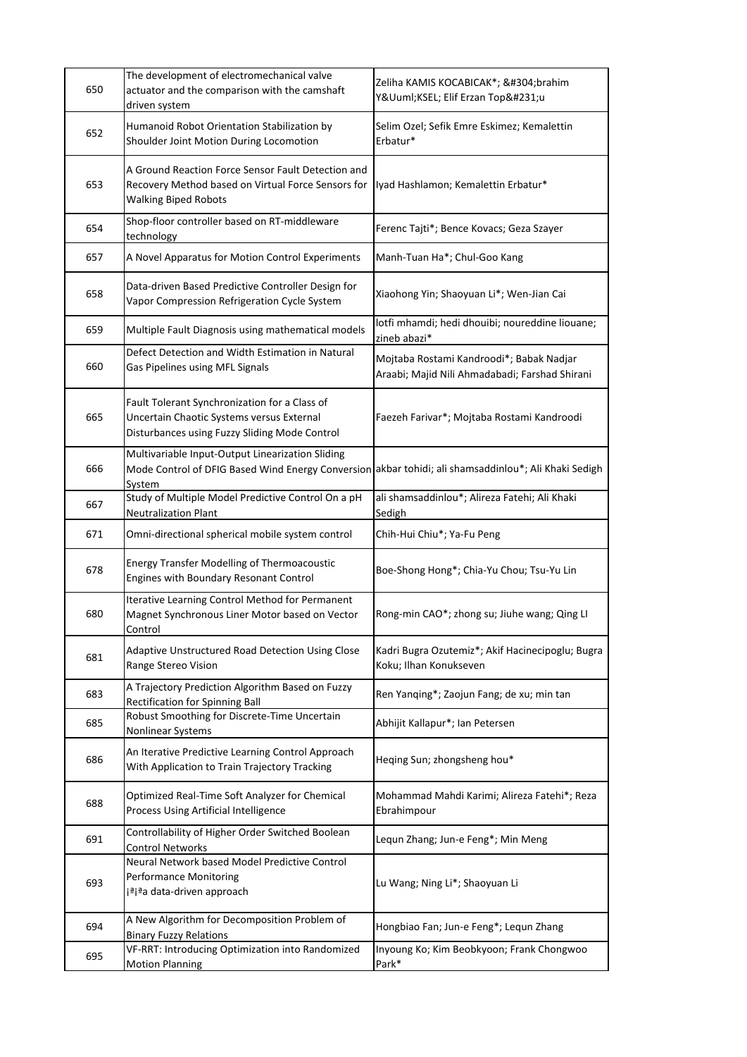| 650 | The development of electromechanical valve<br>actuator and the comparison with the camshaft<br>driven system                                                       | Zeliha KAMIS KOCABICAK*; İbrahim<br>YÜKSEL; Elif Erzan Topçu                               |
|-----|--------------------------------------------------------------------------------------------------------------------------------------------------------------------|--------------------------------------------------------------------------------------------|
| 652 | Humanoid Robot Orientation Stabilization by<br>Shoulder Joint Motion During Locomotion                                                                             | Selim Ozel; Sefik Emre Eskimez; Kemalettin<br>Erbatur*                                     |
| 653 | A Ground Reaction Force Sensor Fault Detection and<br>Recovery Method based on Virtual Force Sensors for<br><b>Walking Biped Robots</b>                            | Iyad Hashlamon; Kemalettin Erbatur*                                                        |
| 654 | Shop-floor controller based on RT-middleware<br>technology                                                                                                         | Ferenc Tajti*; Bence Kovacs; Geza Szayer                                                   |
| 657 | A Novel Apparatus for Motion Control Experiments                                                                                                                   | Manh-Tuan Ha*; Chul-Goo Kang                                                               |
| 658 | Data-driven Based Predictive Controller Design for<br>Vapor Compression Refrigeration Cycle System                                                                 | Xiaohong Yin; Shaoyuan Li*; Wen-Jian Cai                                                   |
| 659 | Multiple Fault Diagnosis using mathematical models                                                                                                                 | lotfi mhamdi; hedi dhouibi; noureddine liouane;<br>zineb abazi*                            |
| 660 | Defect Detection and Width Estimation in Natural<br>Gas Pipelines using MFL Signals                                                                                | Mojtaba Rostami Kandroodi*; Babak Nadjar<br>Araabi; Majid Nili Ahmadabadi; Farshad Shirani |
| 665 | Fault Tolerant Synchronization for a Class of<br>Uncertain Chaotic Systems versus External<br>Disturbances using Fuzzy Sliding Mode Control                        | Faezeh Farivar*; Mojtaba Rostami Kandroodi                                                 |
| 666 | Multivariable Input-Output Linearization Sliding<br>Mode Control of DFIG Based Wind Energy Conversion akbar tohidi; ali shamsaddinlou*; Ali Khaki Sedigh<br>System |                                                                                            |
| 667 | Study of Multiple Model Predictive Control On a pH<br><b>Neutralization Plant</b>                                                                                  | ali shamsaddinlou*; Alireza Fatehi; Ali Khaki<br>Sedigh                                    |
| 671 | Omni-directional spherical mobile system control                                                                                                                   | Chih-Hui Chiu*; Ya-Fu Peng                                                                 |
| 678 | <b>Energy Transfer Modelling of Thermoacoustic</b><br>Engines with Boundary Resonant Control                                                                       | Boe-Shong Hong*; Chia-Yu Chou; Tsu-Yu Lin                                                  |
| 680 | Iterative Learning Control Method for Permanent<br>Magnet Synchronous Liner Motor based on Vector<br>Control                                                       | Rong-min CAO*; zhong su; Jiuhe wang; Qing LI                                               |
| 681 | Adaptive Unstructured Road Detection Using Close<br>Range Stereo Vision                                                                                            | Kadri Bugra Ozutemiz*; Akif Hacinecipoglu; Bugra<br>Koku; Ilhan Konukseven                 |
| 683 | A Trajectory Prediction Algorithm Based on Fuzzy<br><b>Rectification for Spinning Ball</b>                                                                         | Ren Yanqing*; Zaojun Fang; de xu; min tan                                                  |
| 685 | Robust Smoothing for Discrete-Time Uncertain<br>Nonlinear Systems                                                                                                  | Abhijit Kallapur*; Ian Petersen                                                            |
| 686 | An Iterative Predictive Learning Control Approach<br>With Application to Train Trajectory Tracking                                                                 | Heqing Sun; zhongsheng hou*                                                                |
| 688 | Optimized Real-Time Soft Analyzer for Chemical<br>Process Using Artificial Intelligence                                                                            | Mohammad Mahdi Karimi; Alireza Fatehi*; Reza<br>Ebrahimpour                                |
| 691 | Controllability of Higher Order Switched Boolean<br><b>Control Networks</b>                                                                                        | Lequn Zhang; Jun-e Feng*; Min Meng                                                         |
| 693 | Neural Network based Model Predictive Control<br><b>Performance Monitoring</b><br>iªjªa data-driven approach                                                       | Lu Wang; Ning Li*; Shaoyuan Li                                                             |
| 694 | A New Algorithm for Decomposition Problem of<br><b>Binary Fuzzy Relations</b>                                                                                      | Hongbiao Fan; Jun-e Feng*; Lequn Zhang                                                     |
| 695 | VF-RRT: Introducing Optimization into Randomized<br><b>Motion Planning</b>                                                                                         | Inyoung Ko; Kim Beobkyoon; Frank Chongwoo<br>Park*                                         |
|     |                                                                                                                                                                    |                                                                                            |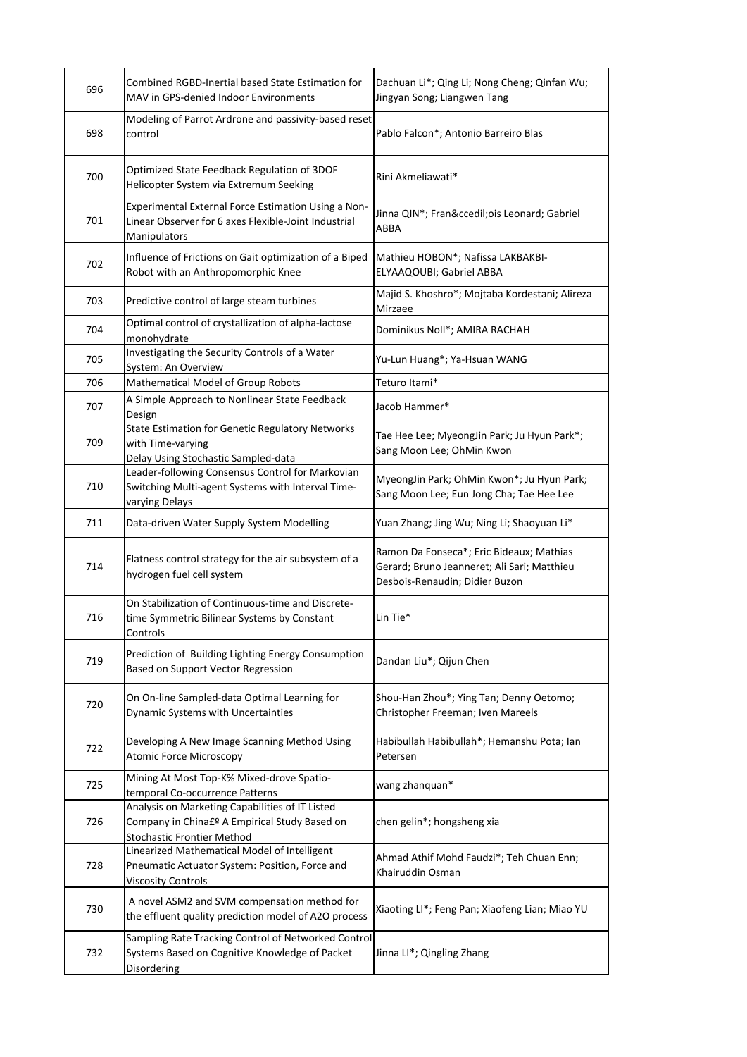| 696 | Combined RGBD-Inertial based State Estimation for<br>MAV in GPS-denied Indoor Environments                                            | Dachuan Li*; Qing Li; Nong Cheng; Qinfan Wu;<br>Jingyan Song; Liangwen Tang                                               |
|-----|---------------------------------------------------------------------------------------------------------------------------------------|---------------------------------------------------------------------------------------------------------------------------|
| 698 | Modeling of Parrot Ardrone and passivity-based reset<br>control                                                                       | Pablo Falcon*; Antonio Barreiro Blas                                                                                      |
| 700 | Optimized State Feedback Regulation of 3DOF<br>Helicopter System via Extremum Seeking                                                 | Rini Akmeliawati*                                                                                                         |
| 701 | Experimental External Force Estimation Using a Non-<br>Linear Observer for 6 axes Flexible-Joint Industrial<br>Manipulators           | Jinna QIN*; François Leonard; Gabriel<br>ABBA                                                                             |
| 702 | Influence of Frictions on Gait optimization of a Biped<br>Robot with an Anthropomorphic Knee                                          | Mathieu HOBON*; Nafissa LAKBAKBI-<br>ELYAAQOUBI; Gabriel ABBA                                                             |
| 703 | Predictive control of large steam turbines                                                                                            | Majid S. Khoshro*; Mojtaba Kordestani; Alireza<br>Mirzaee                                                                 |
| 704 | Optimal control of crystallization of alpha-lactose<br>monohydrate                                                                    | Dominikus Noll*; AMIRA RACHAH                                                                                             |
| 705 | Investigating the Security Controls of a Water<br>System: An Overview                                                                 | Yu-Lun Huang*; Ya-Hsuan WANG                                                                                              |
| 706 | Mathematical Model of Group Robots                                                                                                    | Teturo Itami*                                                                                                             |
|     | A Simple Approach to Nonlinear State Feedback                                                                                         | Jacob Hammer*                                                                                                             |
| 707 | Design                                                                                                                                |                                                                                                                           |
| 709 | State Estimation for Genetic Regulatory Networks<br>with Time-varying<br>Delay Using Stochastic Sampled-data                          | Tae Hee Lee; MyeongJin Park; Ju Hyun Park*;<br>Sang Moon Lee; OhMin Kwon                                                  |
| 710 | Leader-following Consensus Control for Markovian<br>Switching Multi-agent Systems with Interval Time-<br>varying Delays               | MyeongJin Park; OhMin Kwon*; Ju Hyun Park;<br>Sang Moon Lee; Eun Jong Cha; Tae Hee Lee                                    |
| 711 | Data-driven Water Supply System Modelling                                                                                             | Yuan Zhang; Jing Wu; Ning Li; Shaoyuan Li*                                                                                |
| 714 | Flatness control strategy for the air subsystem of a<br>hydrogen fuel cell system                                                     | Ramon Da Fonseca*; Eric Bideaux; Mathias<br>Gerard; Bruno Jeanneret; Ali Sari; Matthieu<br>Desbois-Renaudin; Didier Buzon |
| 716 | On Stabilization of Continuous-time and Discrete-<br>time Symmetric Bilinear Systems by Constant<br>Controls                          | Lin Tie*                                                                                                                  |
| 719 | Prediction of Building Lighting Energy Consumption<br>Based on Support Vector Regression                                              | Dandan Liu*; Qijun Chen                                                                                                   |
| 720 | On On-line Sampled-data Optimal Learning for<br>Dynamic Systems with Uncertainties                                                    | Shou-Han Zhou*; Ying Tan; Denny Oetomo;<br>Christopher Freeman; Iven Mareels                                              |
| 722 | Developing A New Image Scanning Method Using<br><b>Atomic Force Microscopy</b>                                                        | Habibullah Habibullah*; Hemanshu Pota; lan<br>Petersen                                                                    |
| 725 | Mining At Most Top-K% Mixed-drove Spatio-<br>temporal Co-occurrence Patterns                                                          | wang zhanquan*                                                                                                            |
| 726 | Analysis on Marketing Capabilities of IT Listed<br>Company in China£º A Empirical Study Based on<br><b>Stochastic Frontier Method</b> | chen gelin*; hongsheng xia                                                                                                |
| 728 | Linearized Mathematical Model of Intelligent<br>Pneumatic Actuator System: Position, Force and<br><b>Viscosity Controls</b>           | Ahmad Athif Mohd Faudzi*; Teh Chuan Enn;<br>Khairuddin Osman                                                              |
| 730 | A novel ASM2 and SVM compensation method for<br>the effluent quality prediction model of A2O process                                  | Xiaoting LI*; Feng Pan; Xiaofeng Lian; Miao YU                                                                            |
| 732 | Sampling Rate Tracking Control of Networked Control<br>Systems Based on Cognitive Knowledge of Packet<br>Disordering                  | Jinna LI*; Qingling Zhang                                                                                                 |